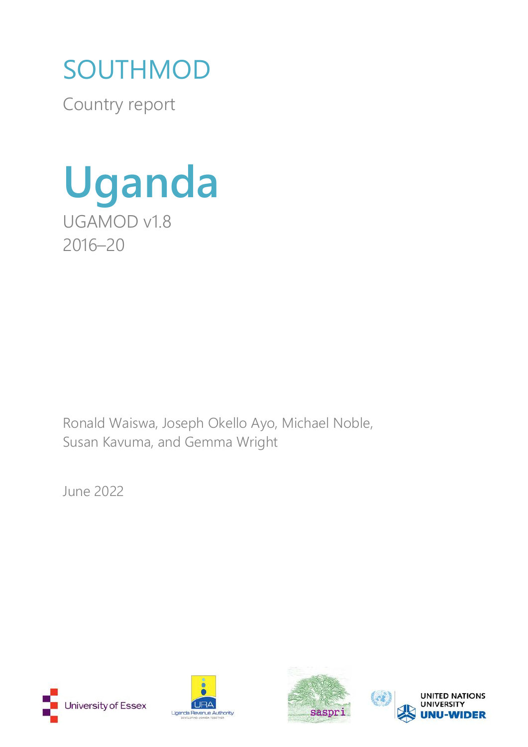# SOUTHMOD

Country report



Ronald Waiswa, Joseph Okello Ayo, Michael Noble, Susan Kavuma, and Gemma Wright

June 2022







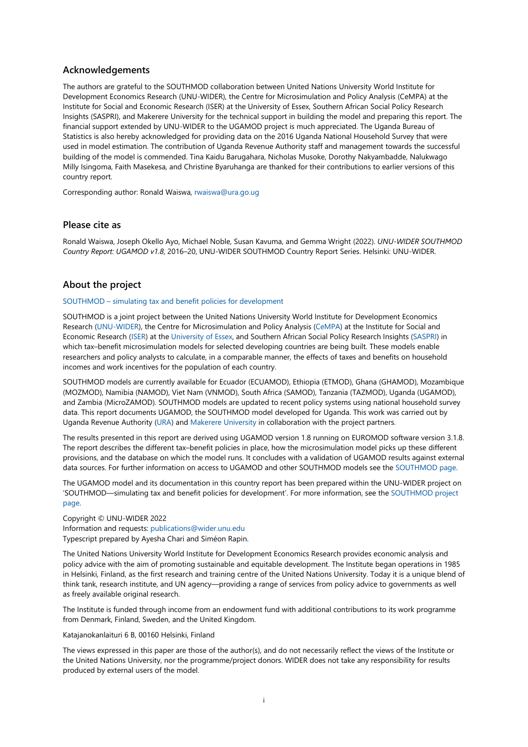#### **Acknowledgements**

The authors are grateful to the SOUTHMOD collaboration between United Nations University World Institute for Development Economics Research (UNU-WIDER), the Centre for Microsimulation and Policy Analysis (CeMPA) at the Institute for Social and Economic Research (ISER) at the University of Essex, Southern African Social Policy Research Insights (SASPRI), and Makerere University for the technical support in building the model and preparing this report. The financial support extended by UNU-WIDER to the UGAMOD project is much appreciated. The Uganda Bureau of Statistics is also hereby acknowledged for providing data on the 2016 Uganda National Household Survey that were used in model estimation. The contribution of Uganda Revenue Authority staff and management towards the successful building of the model is commended. Tina Kaidu Barugahara, Nicholas Musoke, Dorothy Nakyambadde, Nalukwago Milly Isingoma, Faith Masekesa, and Christine Byaruhanga are thanked for their contributions to earlier versions of this country report.

Corresponding author: Ronald Waiswa, [rwaiswa@ura.go.ug](mailto:rwaiswa@ura.go.ug)

#### **Please cite as**

Ronald Waiswa, Joseph Okello Ayo, Michael Noble, Susan Kavuma, and Gemma Wright (2022). *UNU-WIDER SOUTHMOD Country Report: UGAMOD v1.8*, 2016–20, UNU-WIDER SOUTHMOD Country Report Series. Helsinki: UNU-WIDER.

#### **About the project**

#### SOUTHMOD [– simulating tax and benefit policies for development](https://www.wider.unu.edu/node/236949)

SOUTHMOD is a joint project between the United Nations University World Institute for Development Economics Research [\(UNU-WIDER\)](https://www.wider.unu.edu/), the Centre for Microsimulation and Policy Analysis [\(CeMPA\)](https://www.microsimulation.ac.uk/) at the Institute for Social and Economic Research [\(ISER\)](https://www.iser.essex.ac.uk/) at the [University of Essex,](http://www.essex.ac.uk/) and Southern African Social Policy Research Insights [\(SASPRI\)](http://saspri.org/) in which tax–benefit microsimulation models for selected developing countries are being built. These models enable researchers and policy analysts to calculate, in a comparable manner, the effects of taxes and benefits on household incomes and work incentives for the population of each country.

SOUTHMOD models are currently available for Ecuador (ECUAMOD), Ethiopia (ETMOD), Ghana (GHAMOD), Mozambique (MOZMOD), Namibia (NAMOD), Viet Nam (VNMOD), South Africa (SAMOD), Tanzania (TAZMOD), Uganda (UGAMOD), and Zambia (MicroZAMOD). SOUTHMOD models are updated to recent policy systems using national household survey data. This report documents UGAMOD, the SOUTHMOD model developed for Uganda. This work was carried out by Uganda Revenue Authority [\(URA\)](https://www.ura.go.ug/) and [Makerere University](https://www.mak.ac.ug/) in collaboration with the project partners.

The results presented in this report are derived using UGAMOD version 1.8 running on EUROMOD software version 3.1.8. The report describes the different tax–benefit policies in place, how the microsimulation model picks up these different provisions, and the database on which the model runs. It concludes with a validation of UGAMOD results against external data sources. For further information on access to UGAMOD and other SOUTHMOD models see the [SOUTHMOD page.](https://www.wider.unu.edu/node/236949)

The UGAMOD model and its documentation in this country report has been prepared within the UNU-WIDER project on 'SOUTHMOD—simulating tax and benefit policies for development'. For more information, see the [SOUTHMOD project](https://www.wider.unu.edu/node/236949) [page.](https://www.wider.unu.edu/node/236949) 

#### Copyright © UNU-WIDER 2022 Information and requests: [publications@wider.unu.edu](mailto:publications@wider.unu.edu) Typescript prepared by Ayesha Chari and Siméon Rapin.

The United Nations University World Institute for Development Economics Research provides economic analysis and policy advice with the aim of promoting sustainable and equitable development. The Institute began operations in 1985 in Helsinki, Finland, as the first research and training centre of the United Nations University. Today it is a unique blend of think tank, research institute, and UN agency—providing a range of services from policy advice to governments as well as freely available original research.

The Institute is funded through income from an endowment fund with additional contributions to its work programme from Denmark, Finland, Sweden, and the United Kingdom.

#### Katajanokanlaituri 6 B, 00160 Helsinki, Finland

The views expressed in this paper are those of the author(s), and do not necessarily reflect the views of the Institute or the United Nations University, nor the programme/project donors. WIDER does not take any responsibility for results produced by external users of the model.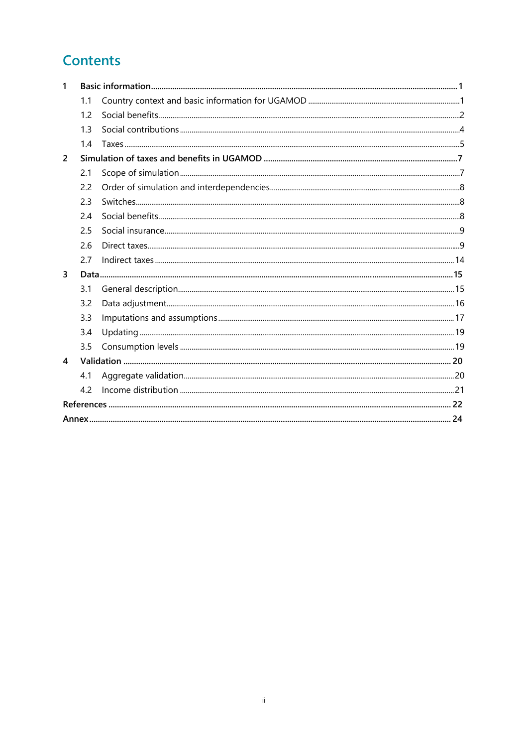# **Contents**

| 1                       |     |  |
|-------------------------|-----|--|
|                         | 1.1 |  |
|                         | 1.2 |  |
|                         | 1.3 |  |
|                         | 1.4 |  |
| $\overline{2}$          |     |  |
|                         | 2.1 |  |
|                         | 2.2 |  |
|                         | 2.3 |  |
|                         | 2.4 |  |
|                         | 2.5 |  |
|                         | 2.6 |  |
|                         | 2.7 |  |
| 3                       |     |  |
|                         | 3.1 |  |
|                         | 3.2 |  |
|                         | 3.3 |  |
|                         | 3.4 |  |
|                         | 3.5 |  |
| $\overline{\mathbf{A}}$ |     |  |
|                         | 4.1 |  |
|                         | 4.2 |  |
|                         |     |  |
|                         |     |  |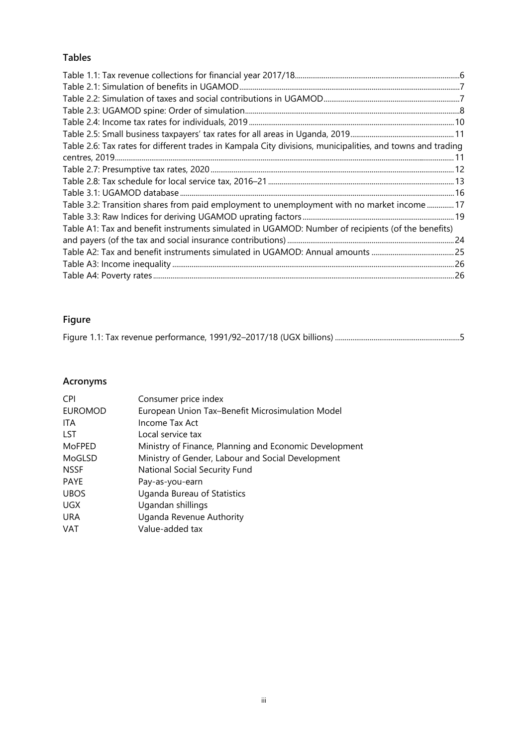# **Tables**

| Table 2.6: Tax rates for different trades in Kampala City divisions, municipalities, and towns and trading |  |
|------------------------------------------------------------------------------------------------------------|--|
|                                                                                                            |  |
|                                                                                                            |  |
|                                                                                                            |  |
| Table 3.2: Transition shares from paid employment to unemployment with no market income  17                |  |
|                                                                                                            |  |
| Table A1: Tax and benefit instruments simulated in UGAMOD: Number of recipients (of the benefits)          |  |
|                                                                                                            |  |
|                                                                                                            |  |
|                                                                                                            |  |
|                                                                                                            |  |

# **Figure**

# **Acronyms**

| <b>CPI</b>     | Consumer price index                                   |
|----------------|--------------------------------------------------------|
| <b>EUROMOD</b> | European Union Tax-Benefit Microsimulation Model       |
| ITA            | Income Tax Act                                         |
| <b>LST</b>     | Local service tax                                      |
| MoFPED         | Ministry of Finance, Planning and Economic Development |
| MoGLSD         | Ministry of Gender, Labour and Social Development      |
| <b>NSSF</b>    | National Social Security Fund                          |
| <b>PAYE</b>    | Pay-as-you-earn                                        |
| <b>UBOS</b>    | Uganda Bureau of Statistics                            |
| UGX.           | Ugandan shillings                                      |
| <b>URA</b>     | Uganda Revenue Authority                               |
| <b>VAT</b>     | Value-added tax                                        |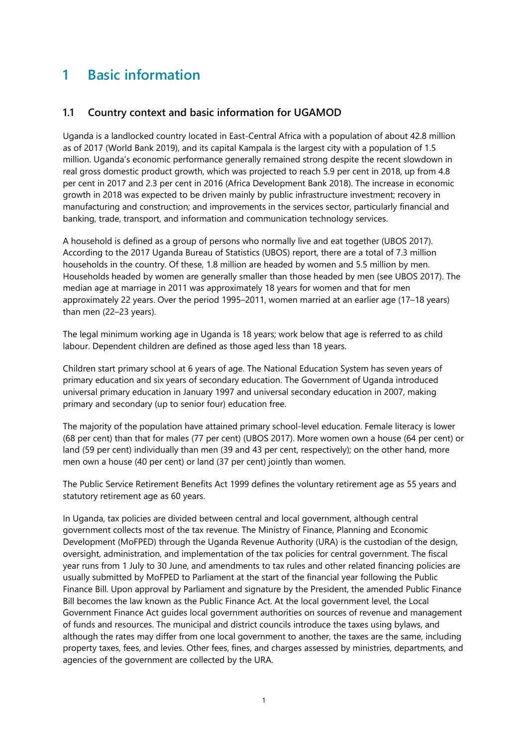# <span id="page-4-0"></span>**1 Basic information**

# <span id="page-4-1"></span>**1.1 Country context and basic information for UGAMOD**

Uganda is a landlocked country located in East-Central Africa with a population of about 42.8 million as of 2017 (World Bank 2019), and its capital Kampala is the largest city with a population of 1.5 million. Uganda's economic performance generally remained strong despite the recent slowdown in real gross domestic product growth, which was projected to reach 5.9 per cent in 2018, up from 4.8 per cent in 2017 and 2.3 per cent in 2016 (Africa Development Bank 2018). The increase in economic growth in 2018 was expected to be driven mainly by public infrastructure investment; recovery in manufacturing and construction; and improvements in the services sector, particularly financial and banking, trade, transport, and information and communication technology services.

A household is defined as a group of persons who normally live and eat together (UBOS 2017). According to the 2017 Uganda Bureau of Statistics (UBOS) report, there are a total of 7.3 million households in the country. Of these, 1.8 million are headed by women and 5.5 million by men. Households headed by women are generally smaller than those headed by men (see UBOS 2017). The median age at marriage in 2011 was approximately 18 years for women and that for men approximately 22 years. Over the period 1995–2011, women married at an earlier age (17–18 years) than men (22–23 years).

The legal minimum working age in Uganda is 18 years; work below that age is referred to as child labour. Dependent children are defined as those aged less than 18 years.

Children start primary school at 6 years of age. The National Education System has seven years of primary education and six years of secondary education. The Government of Uganda introduced universal primary education in January 1997 and universal secondary education in 2007, making primary and secondary (up to senior four) education free.

The majority of the population have attained primary school-level education. Female literacy is lower (68 per cent) than that for males (77 per cent) (UBOS 2017). More women own a house (64 per cent) or land (59 per cent) individually than men (39 and 43 per cent, respectively); on the other hand, more men own a house (40 per cent) or land (37 per cent) jointly than women.

The Public Service Retirement Benefits Act 1999 defines the voluntary retirement age as 55 years and statutory retirement age as 60 years.

In Uganda, tax policies are divided between central and local government, although central government collects most of the tax revenue. The Ministry of Finance, Planning and Economic Development (MoFPED) through the Uganda Revenue Authority (URA) is the custodian of the design, oversight, administration, and implementation of the tax policies for central government. The fiscal year runs from 1 July to 30 June, and amendments to tax rules and other related financing policies are usually submitted by MoFPED to Parliament at the start of the financial year following the Public Finance Bill. Upon approval by Parliament and signature by the President, the amended Public Finance Bill becomes the law known as the Public Finance Act. At the local government level, the Local Government Finance Act guides local government authorities on sources of revenue and management of funds and resources. The municipal and district councils introduce the taxes using bylaws, and although the rates may differ from one local government to another, the taxes are the same, including property taxes, fees, and levies. Other fees, fines, and charges assessed by ministries, departments, and agencies of the government are collected by the URA.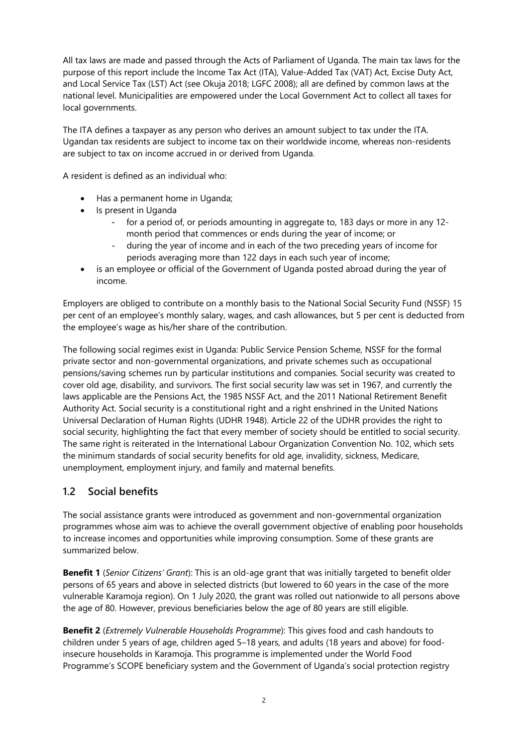All tax laws are made and passed through the Acts of Parliament of Uganda. The main tax laws for the purpose of this report include the Income Tax Act (ITA), Value-Added Tax (VAT) Act, Excise Duty Act, and Local Service Tax (LST) Act (see Okuja 2018; LGFC 2008); all are defined by common laws at the national level. Municipalities are empowered under the Local Government Act to collect all taxes for local governments.

The ITA defines a taxpayer as any person who derives an amount subject to tax under the ITA. Ugandan tax residents are subject to income tax on their worldwide income, whereas non-residents are subject to tax on income accrued in or derived from Uganda.

A resident is defined as an individual who:

- Has a permanent home in Uganda;
- Is present in Uganda
	- for a period of, or periods amounting in aggregate to, 183 days or more in any 12 month period that commences or ends during the year of income; or
	- during the year of income and in each of the two preceding years of income for periods averaging more than 122 days in each such year of income;
- is an employee or official of the Government of Uganda posted abroad during the year of income.

Employers are obliged to contribute on a monthly basis to the National Social Security Fund (NSSF) 15 per cent of an employee's monthly salary, wages, and cash allowances, but 5 per cent is deducted from the employee's wage as his/her share of the contribution.

The following social regimes exist in Uganda: Public Service Pension Scheme, NSSF for the formal private sector and non-governmental organizations, and private schemes such as occupational pensions/saving schemes run by particular institutions and companies. Social security was created to cover old age, disability, and survivors. The first social security law was set in 1967, and currently the laws applicable are the Pensions Act, the 1985 NSSF Act, and the 2011 National Retirement Benefit Authority Act. Social security is a constitutional right and a right enshrined in the United Nations Universal Declaration of Human Rights (UDHR 1948). Article 22 of the UDHR provides the right to social security, highlighting the fact that every member of society should be entitled to social security. The same right is reiterated in the International Labour Organization Convention No. 102, which sets the minimum standards of social security benefits for old age, invalidity, sickness, Medicare, unemployment, employment injury, and family and maternal benefits.

# <span id="page-5-0"></span>**1.2 Social benefits**

The social assistance grants were introduced as government and non-governmental organization programmes whose aim was to achieve the overall government objective of enabling poor households to increase incomes and opportunities while improving consumption. Some of these grants are summarized below.

**Benefit 1** (*Senior Citizens' Grant*): This is an old-age grant that was initially targeted to benefit older persons of 65 years and above in selected districts (but lowered to 60 years in the case of the more vulnerable Karamoja region). On 1 July 2020, the grant was rolled out nationwide to all persons above the age of 80. However, previous beneficiaries below the age of 80 years are still eligible.

**Benefit 2** (*Extremely Vulnerable Households Programme*): This gives food and cash handouts to children under 5 years of age, children aged 5–18 years, and adults (18 years and above) for foodinsecure households in Karamoja. This programme is implemented under the World Food Programme's SCOPE beneficiary system and the Government of Uganda's social protection registry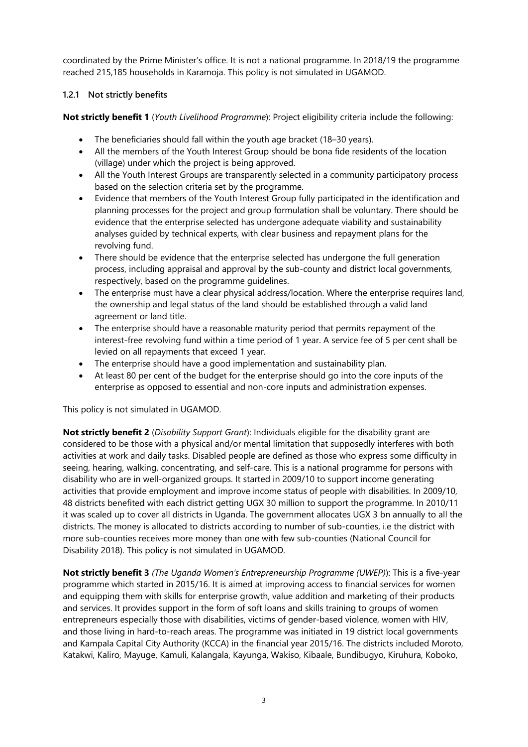coordinated by the Prime Minister's office. It is not a national programme. In 2018/19 the programme reached 215,185 households in Karamoja. This policy is not simulated in UGAMOD.

#### **1.2.1 Not strictly benefits**

**Not strictly benefit 1** (*Youth Livelihood Programme*): Project eligibility criteria include the following:

- The beneficiaries should fall within the youth age bracket (18–30 years).
- All the members of the Youth Interest Group should be bona fide residents of the location (village) under which the project is being approved.
- All the Youth Interest Groups are transparently selected in a community participatory process based on the selection criteria set by the programme.
- Evidence that members of the Youth Interest Group fully participated in the identification and planning processes for the project and group formulation shall be voluntary. There should be evidence that the enterprise selected has undergone adequate viability and sustainability analyses guided by technical experts, with clear business and repayment plans for the revolving fund.
- There should be evidence that the enterprise selected has undergone the full generation process, including appraisal and approval by the sub-county and district local governments, respectively, based on the programme guidelines.
- The enterprise must have a clear physical address/location. Where the enterprise requires land, the ownership and legal status of the land should be established through a valid land agreement or land title.
- The enterprise should have a reasonable maturity period that permits repayment of the interest-free revolving fund within a time period of 1 year. A service fee of 5 per cent shall be levied on all repayments that exceed 1 year.
- The enterprise should have a good implementation and sustainability plan.
- At least 80 per cent of the budget for the enterprise should go into the core inputs of the enterprise as opposed to essential and non-core inputs and administration expenses.

This policy is not simulated in UGAMOD.

**Not strictly benefit 2** (*Disability Support Grant*): Individuals eligible for the disability grant are considered to be those with a physical and/or mental limitation that supposedly interferes with both activities at work and daily tasks. Disabled people are defined as those who express some difficulty in seeing, hearing, walking, concentrating, and self-care. This is a national programme for persons with disability who are in well-organized groups. It started in 2009/10 to support income generating activities that provide employment and improve income status of people with disabilities. In 2009/10, 48 districts benefited with each district getting UGX 30 million to support the programme. In 2010/11 it was scaled up to cover all districts in Uganda. The government allocates UGX 3 bn annually to all the districts. The money is allocated to districts according to number of sub-counties, i.e the district with more sub-counties receives more money than one with few sub-counties (National Council for Disability 2018). This policy is not simulated in UGAMOD.

**Not strictly benefit 3** *(The Uganda Women's Entrepreneurship Programme (UWEP)*): This is a five-year programme which started in 2015/16. It is aimed at improving access to financial services for women and equipping them with skills for enterprise growth, value addition and marketing of their products and services. It provides support in the form of soft loans and skills training to groups of women entrepreneurs especially those with disabilities, victims of gender-based violence, women with HIV, and those living in hard-to-reach areas. The programme was initiated in 19 district local governments and Kampala Capital City Authority (KCCA) in the financial year 2015/16. The districts included Moroto, Katakwi, Kaliro, Mayuge, Kamuli, Kalangala, Kayunga, Wakiso, Kibaale, Bundibugyo, Kiruhura, Koboko,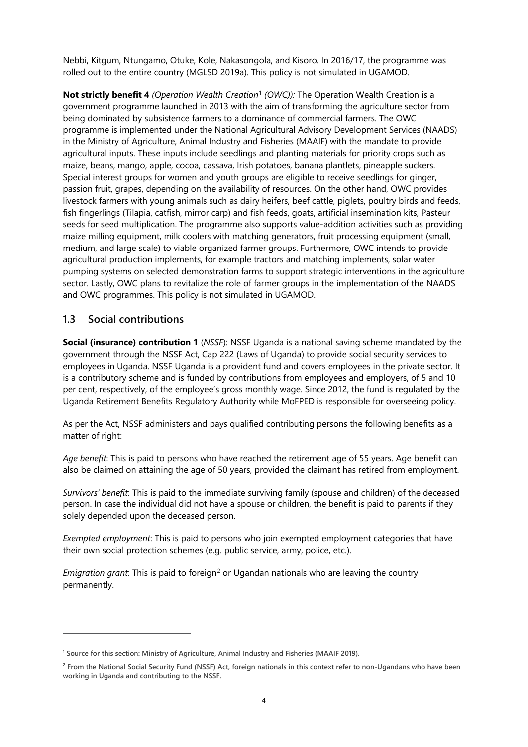Nebbi, Kitgum, Ntungamo, Otuke, Kole, Nakasongola, and Kisoro. In 2016/17, the programme was rolled out to the entire country (MGLSD 2019a). This policy is not simulated in UGAMOD.

**Not strictly benefit 4** *(Operation Wealth Creation*[1](#page-7-1) *(OWC)):* The Operation Wealth Creation is a government programme launched in 2013 with the aim of transforming the agriculture sector from being dominated by subsistence farmers to a dominance of commercial farmers. The OWC programme is implemented under the National Agricultural Advisory Development Services (NAADS) in the Ministry of Agriculture, Animal Industry and Fisheries (MAAIF) with the mandate to provide agricultural inputs. These inputs include seedlings and planting materials for priority crops such as maize, beans, mango, apple, cocoa, cassava, Irish potatoes, banana plantlets, pineapple suckers. Special interest groups for women and youth groups are eligible to receive seedlings for ginger, passion fruit, grapes, depending on the availability of resources. On the other hand, OWC provides livestock farmers with young animals such as dairy heifers, beef cattle, piglets, poultry birds and feeds, fish fingerlings (Tilapia, catfish, mirror carp) and fish feeds, goats, artificial insemination kits, Pasteur seeds for seed multiplication. The programme also supports value-addition activities such as providing maize milling equipment, milk coolers with matching generators, fruit processing equipment (small, medium, and large scale) to viable organized farmer groups. Furthermore, OWC intends to provide agricultural production implements, for example tractors and matching implements, solar water pumping systems on selected demonstration farms to support strategic interventions in the agriculture sector. Lastly, OWC plans to revitalize the role of farmer groups in the implementation of the NAADS and OWC programmes. This policy is not simulated in UGAMOD.

# <span id="page-7-0"></span>**1.3 Social contributions**

**Social (insurance) contribution 1** (*NSSF*): NSSF Uganda is a national saving scheme mandated by the government through the NSSF Act, Cap 222 (Laws of Uganda) to provide social security services to employees in Uganda. NSSF Uganda is a provident fund and covers employees in the private sector. It is a contributory scheme and is funded by contributions from employees and employers, of 5 and 10 per cent, respectively, of the employee's gross monthly wage. Since 2012, the fund is regulated by the Uganda Retirement Benefits Regulatory Authority while MoFPED is responsible for overseeing policy.

As per the Act, NSSF administers and pays qualified contributing persons the following benefits as a matter of right:

*Age benefit*: This is paid to persons who have reached the retirement age of 55 years. Age benefit can also be claimed on attaining the age of 50 years, provided the claimant has retired from employment.

*Survivors' benefit*: This is paid to the immediate surviving family (spouse and children) of the deceased person. In case the individual did not have a spouse or children, the benefit is paid to parents if they solely depended upon the deceased person.

*Exempted employment*: This is paid to persons who join exempted employment categories that have their own social protection schemes (e.g. public service, army, police, etc.).

*Emigration grant*: This is paid to foreign<sup>[2](#page-7-2)</sup> or Ugandan nationals who are leaving the country permanently.

<span id="page-7-1"></span>**<sup>1</sup> Source for this section: Ministry of Agriculture, Animal Industry and Fisheries (MAAIF 2019).**

<span id="page-7-2"></span>**<sup>2</sup> From the National Social Security Fund (NSSF) Act, foreign nationals in this context refer to non-Ugandans who have been working in Uganda and contributing to the NSSF.**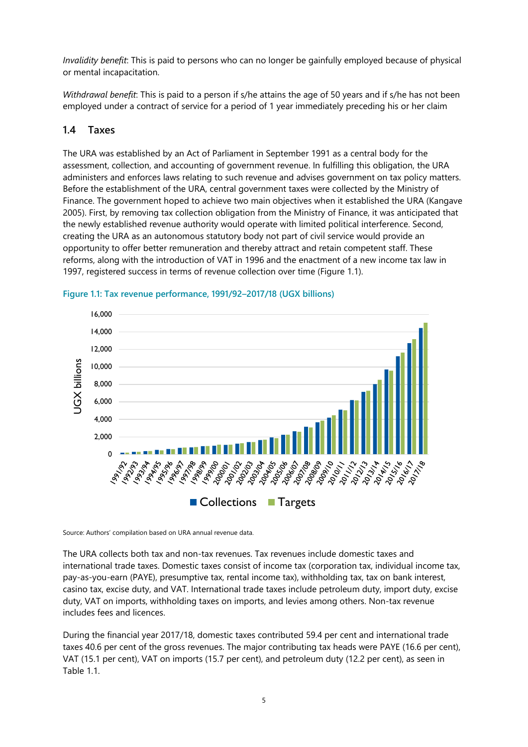*Invalidity benefit*: This is paid to persons who can no longer be gainfully employed because of physical or mental incapacitation.

*Withdrawal benefit*: This is paid to a person if s/he attains the age of 50 years and if s/he has not been employed under a contract of service for a period of 1 year immediately preceding his or her claim

# <span id="page-8-0"></span>**1.4 Taxes**

The URA was established by an Act of Parliament in September 1991 as a central body for the assessment, collection, and accounting of government revenue. In fulfilling this obligation, the URA administers and enforces laws relating to such revenue and advises government on tax policy matters. Before the establishment of the URA, central government taxes were collected by the Ministry of Finance. The government hoped to achieve two main objectives when it established the URA (Kangave 2005). First, by removing tax collection obligation from the Ministry of Finance, it was anticipated that the newly established revenue authority would operate with limited political interference. Second, creating the URA as an autonomous statutory body not part of civil service would provide an opportunity to offer better remuneration and thereby attract and retain competent staff. These reforms, along with the introduction of VAT in 1996 and the enactment of a new income tax law in 1997, registered success in terms of revenue collection over time (Figure 1.1).



<span id="page-8-1"></span>

Source: Authors' compilation based on URA annual revenue data.

The URA collects both tax and non-tax revenues. Tax revenues include domestic taxes and international trade taxes. Domestic taxes consist of income tax (corporation tax, individual income tax, pay-as-you-earn (PAYE), presumptive tax, rental income tax), withholding tax, tax on bank interest, casino tax, excise duty, and VAT. International trade taxes include petroleum duty, import duty, excise duty, VAT on imports, withholding taxes on imports, and levies among others. Non-tax revenue includes fees and licences.

During the financial year 2017/18, domestic taxes contributed 59.4 per cent and international trade taxes 40.6 per cent of the gross revenues. The major contributing tax heads were PAYE (16.6 per cent), VAT (15.1 per cent), VAT on imports (15.7 per cent), and petroleum duty (12.2 per cent), as seen in Table 11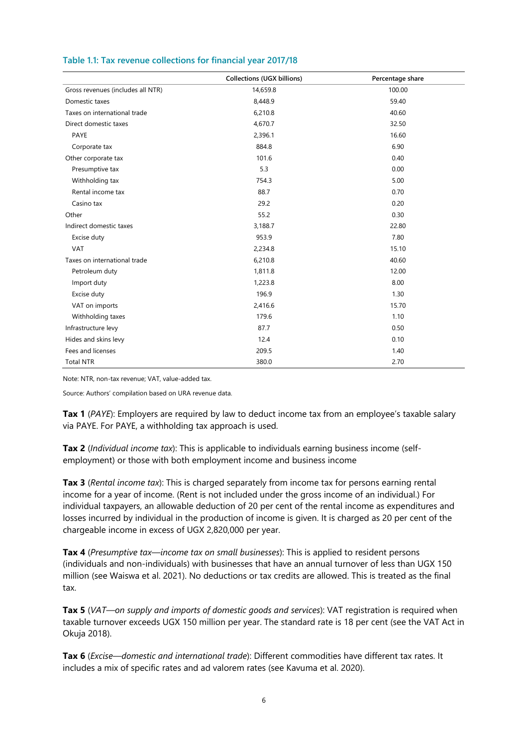|                                   | <b>Collections (UGX billions)</b> | Percentage share |
|-----------------------------------|-----------------------------------|------------------|
| Gross revenues (includes all NTR) | 14,659.8                          | 100.00           |
| Domestic taxes                    | 8,448.9                           | 59.40            |
| Taxes on international trade      | 6,210.8                           | 40.60            |
| Direct domestic taxes             | 4,670.7                           | 32.50            |
| PAYE                              | 2,396.1                           | 16.60            |
| Corporate tax                     | 884.8                             | 6.90             |
| Other corporate tax               | 101.6                             | 0.40             |
| Presumptive tax                   | 5.3                               | 0.00             |
| Withholding tax                   | 754.3                             | 5.00             |
| Rental income tax                 | 88.7                              | 0.70             |
| Casino tax                        | 29.2                              | 0.20             |
| Other                             | 55.2                              | 0.30             |
| Indirect domestic taxes           | 3,188.7                           | 22.80            |
| Excise duty                       | 953.9                             | 7.80             |
| <b>VAT</b>                        | 2,234.8                           | 15.10            |
| Taxes on international trade      | 6,210.8                           | 40.60            |
| Petroleum duty                    | 1,811.8                           | 12.00            |
| Import duty                       | 1,223.8                           | 8.00             |
| Excise duty                       | 196.9                             | 1.30             |
| VAT on imports                    | 2,416.6                           | 15.70            |
| Withholding taxes                 | 179.6                             | 1.10             |
| Infrastructure levy               | 87.7                              | 0.50             |
| Hides and skins levy              | 12.4                              | 0.10             |
| Fees and licenses                 | 209.5                             | 1.40             |
| <b>Total NTR</b>                  | 380.0                             | 2.70             |

### <span id="page-9-0"></span>**Table 1.1: Tax revenue collections for financial year 2017/18**

Note: NTR, non-tax revenue; VAT, value-added tax.

Source: Authors' compilation based on URA revenue data.

**Tax 1** (*PAYE*): Employers are required by law to deduct income tax from an employee's taxable salary via PAYE. For PAYE, a withholding tax approach is used.

**Tax 2** (*Individual income tax*): This is applicable to individuals earning business income (selfemployment) or those with both employment income and business income

**Tax 3** (*Rental income tax*): This is charged separately from income tax for persons earning rental income for a year of income. (Rent is not included under the gross income of an individual.) For individual taxpayers, an allowable deduction of 20 per cent of the rental income as expenditures and losses incurred by individual in the production of income is given. It is charged as 20 per cent of the chargeable income in excess of UGX 2,820,000 per year.

**Tax 4** (*Presumptive tax—income tax on small businesses*): This is applied to resident persons (individuals and non-individuals) with businesses that have an annual turnover of less than UGX 150 million (see Waiswa et al. 2021). No deductions or tax credits are allowed. This is treated as the final tax.

**Tax 5** (*VAT—on supply and imports of domestic goods and services*): VAT registration is required when taxable turnover exceeds UGX 150 million per year. The standard rate is 18 per cent (see the VAT Act in Okuja 2018).

**Tax 6** (*Excise—domestic and international trade*): Different commodities have different tax rates. It includes a mix of specific rates and ad valorem rates (see Kavuma et al. 2020).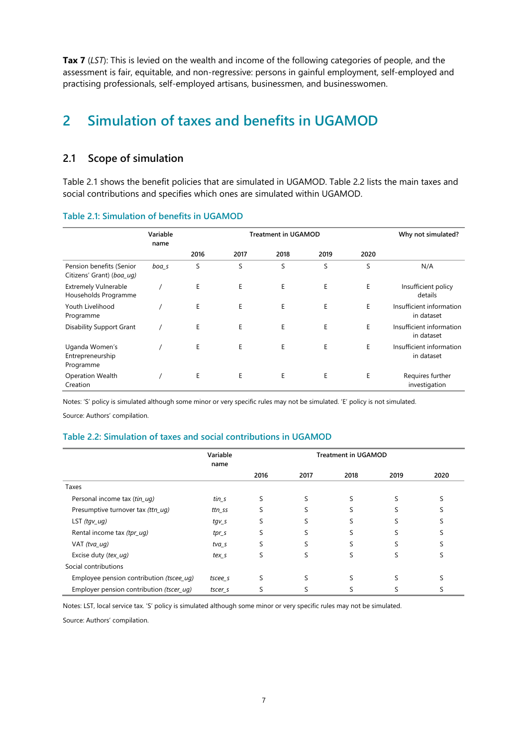**Tax 7** (LST): This is levied on the wealth and income of the following categories of people, and the assessment is fair, equitable, and non-regressive: persons in gainful employment, self-employed and practising professionals, self-employed artisans, businessmen, and businesswomen.

# <span id="page-10-0"></span>**2 Simulation of taxes and benefits in UGAMOD**

# <span id="page-10-1"></span>**2.1 Scope of simulation**

Table 2.1 shows the benefit policies that are simulated in UGAMOD. Table 2.2 lists the main taxes and social contributions and specifies which ones are simulated within UGAMOD.

|                                                       | Variable<br>name |      | <b>Treatment in UGAMOD</b> |      |      | Why not simulated? |                                        |
|-------------------------------------------------------|------------------|------|----------------------------|------|------|--------------------|----------------------------------------|
|                                                       |                  | 2016 | 2017                       | 2018 | 2019 | 2020               |                                        |
| Pension benefits (Senior<br>Citizens' Grant) (boa_uq) | boa_s            | S    | S                          | S    | S    | S                  | N/A                                    |
| <b>Extremely Vulnerable</b><br>Households Programme   |                  | E    | E                          | E    | E    | E                  | Insufficient policy<br>details         |
| Youth Livelihood<br>Programme                         |                  | E    | E                          | E    | E    | E                  | Insufficient information<br>in dataset |
| <b>Disability Support Grant</b>                       |                  | Ε    | Е                          | Ε    | E    | E                  | Insufficient information<br>in dataset |
| Uganda Women's<br>Entrepreneurship<br>Programme       |                  | Е    | Е                          | Ε    | E    | E                  | Insufficient information<br>in dataset |
| Operation Wealth<br>Creation                          |                  | E    | E                          | E    | E    | E                  | Requires further<br>investigation      |

#### <span id="page-10-2"></span>**Table 2.1: Simulation of benefits in UGAMOD**

Notes: 'S' policy is simulated although some minor or very specific rules may not be simulated. 'E' policy is not simulated.

Source: Authors' compilation.

#### <span id="page-10-3"></span>**Table 2.2: Simulation of taxes and social contributions in UGAMOD**

|                                          | Variable<br>name  |      |      | <b>Treatment in UGAMOD</b> |      |      |
|------------------------------------------|-------------------|------|------|----------------------------|------|------|
|                                          |                   | 2016 | 2017 | 2018                       | 2019 | 2020 |
| Taxes                                    |                   |      |      |                            |      |      |
| Personal income tax (tin_uq)             | $t$ <i>in</i> $s$ | S    |      |                            |      |      |
| Presumptive turnover tax (ttn_uq)        | ttn_ss            |      |      |                            |      |      |
| LST $(tgv_\_ug)$                         | tgv_s             |      |      |                            |      |      |
| Rental income tax (tpr_uq)               | $tpr_s$           | S    |      | ς                          |      |      |
| VAT (tva_uq)                             | tva s             | S    |      | S                          |      |      |
| Excise duty (tex_uq)                     | tex s             | S    | S    | S                          |      | C    |
| Social contributions                     |                   |      |      |                            |      |      |
| Employee pension contribution (tscee_uq) | tscee s           |      |      |                            |      |      |
| Employer pension contribution (tscer_uq) | tscer_s           |      |      |                            |      |      |

Notes: LST, local service tax. 'S' policy is simulated although some minor or very specific rules may not be simulated.

Source: Authors' compilation.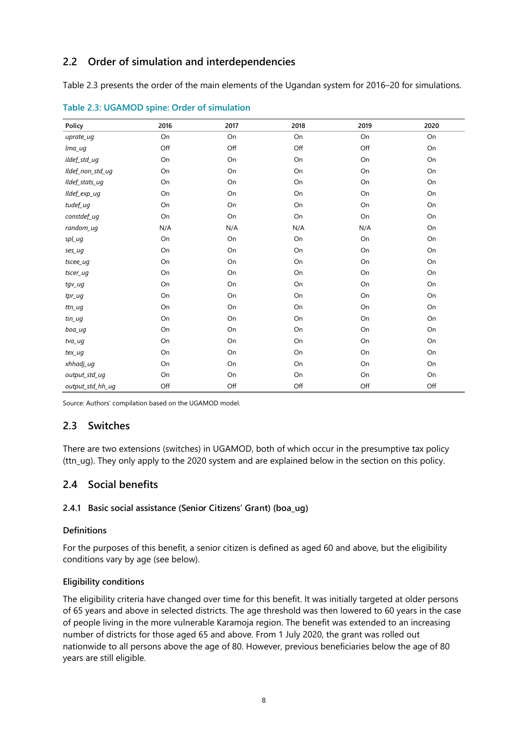# <span id="page-11-0"></span>**2.2 Order of simulation and interdependencies**

Table 2.3 presents the order of the main elements of the Ugandan system for 2016–20 for simulations.

| Policy           | 2016 | 2017 | 2018 | 2019 | 2020 |
|------------------|------|------|------|------|------|
| uprate_uq        | On   | On   | On   | On   | On   |
| lma_ug           | Off  | Off  | Off  | Off  | On   |
| ildef_std_ug     | On   | On   | On   | On   | On   |
| Ildef_non_std_ug | On   | On   | On   | On   | On   |
| Ildef_stats_ug   | On   | On   | On   | On   | On   |
| Ildef_exp_ug     | On   | On   | On   | On   | On   |
| tudef_ug         | On   | On   | On   | On   | On   |
| constdef_ug      | On   | On   | On   | On   | On   |
| random_uq        | N/A  | N/A  | N/A  | N/A  | On   |
| spl_ug           | On   | On   | On   | On   | On   |
| ses_ug           | On   | On   | On   | On   | On   |
| tscee_ug         | On   | On   | On   | On   | On   |
| tscer_ug         | On   | On   | On   | On   | On   |
| tgv_ug           | On   | On   | On   | On   | On   |
| tpr_ug           | On   | On   | On   | On   | On   |
| ttn_ug           | On   | On   | On   | On   | On   |
| tin_ug           | On   | On   | On   | On   | On   |
| boa_uq           | On   | On   | On   | On   | On   |
| tva_uq           | On   | On   | On   | On   | On   |
| tex_uq           | On   | On   | On   | On   | On   |
| xhhadj_ug        | On   | On   | On   | On   | On   |
| output std ug    | On   | On   | On   | On   | On   |
| output_std_hh_ug | Off  | Off  | Off  | Off  | Off  |

<span id="page-11-3"></span>**Table 2.3: UGAMOD spine: Order of simulation**

Source: Authors' compilation based on the UGAMOD model.

# <span id="page-11-1"></span>**2.3 Switches**

There are two extensions (switches) in UGAMOD, both of which occur in the presumptive tax policy (ttn\_ug). They only apply to the 2020 system and are explained below in the section on this policy.

# <span id="page-11-2"></span>**2.4 Social benefits**

#### **2.4.1 Basic social assistance (Senior Citizens' Grant) (boa\_ug)**

#### **Definitions**

For the purposes of this benefit, a senior citizen is defined as aged 60 and above, but the eligibility conditions vary by age (see below).

#### **Eligibility conditions**

The eligibility criteria have changed over time for this benefit. It was initially targeted at older persons of 65 years and above in selected districts. The age threshold was then lowered to 60 years in the case of people living in the more vulnerable Karamoja region. The benefit was extended to an increasing number of districts for those aged 65 and above. From 1 July 2020, the grant was rolled out nationwide to all persons above the age of 80. However, previous beneficiaries below the age of 80 years are still eligible.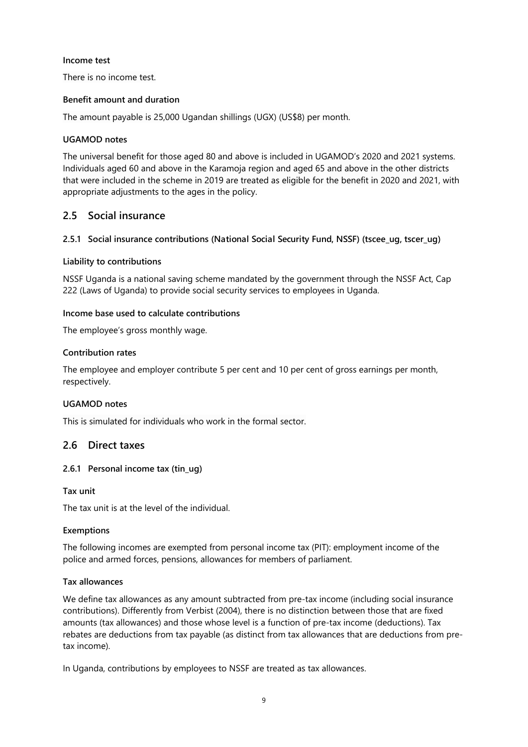#### **Income test**

There is no income test.

#### **Benefit amount and duration**

The amount payable is 25,000 Ugandan shillings (UGX) (US\$8) per month.

#### **UGAMOD notes**

The universal benefit for those aged 80 and above is included in UGAMOD's 2020 and 2021 systems. Individuals aged 60 and above in the Karamoja region and aged 65 and above in the other districts that were included in the scheme in 2019 are treated as eligible for the benefit in 2020 and 2021, with appropriate adjustments to the ages in the policy.

### <span id="page-12-0"></span>**2.5 Social insurance**

#### **2.5.1 Social insurance contributions (National Social Security Fund, NSSF) (tscee\_ug, tscer\_ug)**

#### **Liability to contributions**

NSSF Uganda is a national saving scheme mandated by the government through the NSSF Act, Cap 222 (Laws of Uganda) to provide social security services to employees in Uganda.

#### **Income base used to calculate contributions**

The employee's gross monthly wage.

#### **Contribution rates**

The employee and employer contribute 5 per cent and 10 per cent of gross earnings per month, respectively.

#### **UGAMOD notes**

This is simulated for individuals who work in the formal sector.

# <span id="page-12-1"></span>**2.6 Direct taxes**

#### **2.6.1 Personal income tax (tin\_ug)**

#### **Tax unit**

The tax unit is at the level of the individual.

#### **Exemptions**

The following incomes are exempted from personal income tax (PIT): employment income of the police and armed forces, pensions, allowances for members of parliament.

#### **Tax allowances**

We define tax allowances as any amount subtracted from pre-tax income (including social insurance contributions). Differently from Verbist (2004), there is no distinction between those that are fixed amounts (tax allowances) and those whose level is a function of pre-tax income (deductions). Tax rebates are deductions from tax payable (as distinct from tax allowances that are deductions from pretax income).

In Uganda, contributions by employees to NSSF are treated as tax allowances.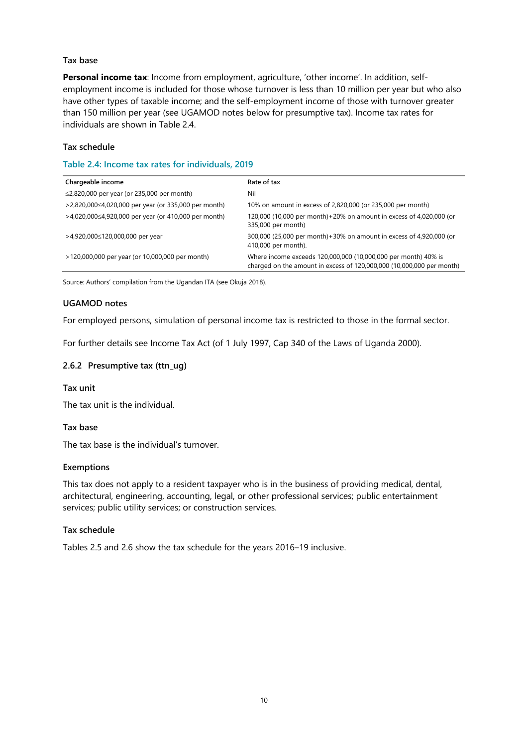#### **Tax base**

**Personal income tax**: Income from employment, agriculture, 'other income'. In addition, selfemployment income is included for those whose turnover is less than 10 million per year but who also have other types of taxable income; and the self-employment income of those with turnover greater than 150 million per year (see UGAMOD notes below for presumptive tax). Income tax rates for individuals are shown in Table 2.4.

#### **Tax schedule**

#### <span id="page-13-0"></span>**Table 2.4: Income tax rates for individuals, 2019**

| Chargeable income                                          | Rate of tax                                                                                                                             |
|------------------------------------------------------------|-----------------------------------------------------------------------------------------------------------------------------------------|
| $\leq$ 2,820,000 per year (or 235,000 per month)           | Nil                                                                                                                                     |
| $>2,820,000 \le 4,020,000$ per year (or 335,000 per month) | 10% on amount in excess of 2,820,000 (or 235,000 per month)                                                                             |
| $>4,020,000 \le 4,920,000$ per year (or 410,000 per month) | 120,000 (10,000 per month) + 20% on amount in excess of 4,020,000 (or<br>335,000 per month)                                             |
| >4,920,000≤120,000,000 per year                            | 300,000 (25,000 per month) + 30% on amount in excess of 4,920,000 (or<br>410,000 per month).                                            |
| >120,000,000 per year (or 10,000,000 per month)            | Where income exceeds 120,000,000 (10,000,000 per month) 40% is<br>charged on the amount in excess of 120,000,000 (10,000,000 per month) |

Source: Authors' compilation from the Ugandan ITA (see Okuja 2018).

#### **UGAMOD notes**

For employed persons, simulation of personal income tax is restricted to those in the formal sector.

For further details see Income Tax Act (of 1 July 1997, Cap 340 of the Laws of Uganda 2000).

#### **2.6.2 Presumptive tax (ttn\_ug)**

#### **Tax unit**

The tax unit is the individual.

#### **Tax base**

The tax base is the individual's turnover.

#### **Exemptions**

This tax does not apply to a resident taxpayer who is in the business of providing medical, dental, architectural, engineering, accounting, legal, or other professional services; public entertainment services; public utility services; or construction services.

#### **Tax schedule**

Tables 2.5 and 2.6 show the tax schedule for the years 2016–19 inclusive.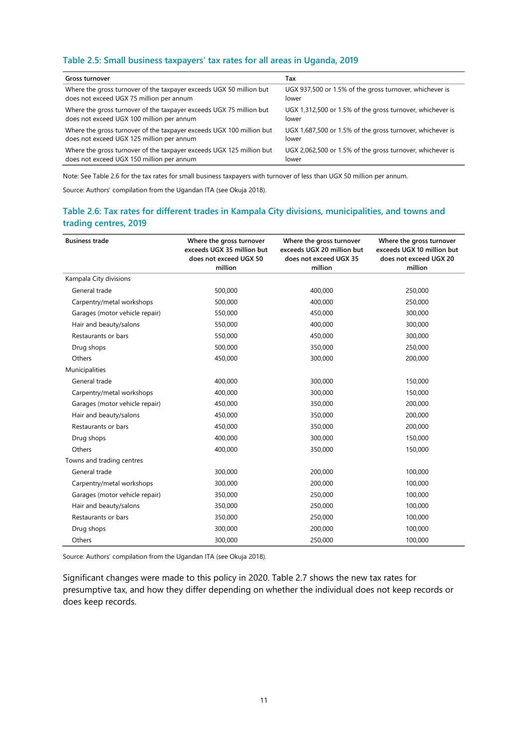#### <span id="page-14-0"></span>**Table 2.5: Small business taxpayers' tax rates for all areas in Uganda, 2019**

| Gross turnover                                                       | Tax                                                       |
|----------------------------------------------------------------------|-----------------------------------------------------------|
| Where the gross turnover of the taxpayer exceeds UGX 50 million but  | UGX 937,500 or 1.5% of the gross turnover, whichever is   |
| does not exceed UGX 75 million per annum                             | lower                                                     |
| Where the gross turnover of the taxpayer exceeds UGX 75 million but  | UGX 1,312,500 or 1.5% of the gross turnover, whichever is |
| does not exceed UGX 100 million per annum                            | lower                                                     |
| Where the gross turnover of the taxpayer exceeds UGX 100 million but | UGX 1,687,500 or 1.5% of the gross turnover, whichever is |
| does not exceed UGX 125 million per annum                            | lower                                                     |
| Where the gross turnover of the taxpayer exceeds UGX 125 million but | UGX 2,062,500 or 1.5% of the gross turnover, whichever is |
| does not exceed UGX 150 million per annum                            | lower                                                     |

Note: See Table 2.6 for the tax rates for small business taxpayers with turnover of less than UGX 50 million per annum.

Source: Authors' compilation from the Ugandan ITA (see Okuja 2018).

#### <span id="page-14-1"></span>**Table 2.6: Tax rates for different trades in Kampala City divisions, municipalities, and towns and trading centres, 2019**

| <b>Business trade</b>          | Where the gross turnover<br>exceeds UGX 35 million but<br>does not exceed UGX 50<br>million | Where the gross turnover<br>exceeds UGX 20 million but<br>does not exceed UGX 35<br>million | Where the gross turnover<br>exceeds UGX 10 million but<br>does not exceed UGX 20<br>million |
|--------------------------------|---------------------------------------------------------------------------------------------|---------------------------------------------------------------------------------------------|---------------------------------------------------------------------------------------------|
| Kampala City divisions         |                                                                                             |                                                                                             |                                                                                             |
| General trade                  | 500,000                                                                                     | 400,000                                                                                     | 250,000                                                                                     |
| Carpentry/metal workshops      | 500,000                                                                                     | 400,000                                                                                     | 250,000                                                                                     |
| Garages (motor vehicle repair) | 550,000                                                                                     | 450,000                                                                                     | 300,000                                                                                     |
| Hair and beauty/salons         | 550,000                                                                                     | 400.000                                                                                     | 300,000                                                                                     |
| Restaurants or bars            | 550,000                                                                                     | 450,000                                                                                     | 300,000                                                                                     |
| Drug shops                     | 500,000                                                                                     | 350,000                                                                                     | 250,000                                                                                     |
| Others                         | 450,000                                                                                     | 300,000                                                                                     | 200,000                                                                                     |
| Municipalities                 |                                                                                             |                                                                                             |                                                                                             |
| General trade                  | 400,000                                                                                     | 300,000                                                                                     | 150,000                                                                                     |
| Carpentry/metal workshops      | 400,000                                                                                     | 300,000                                                                                     | 150,000                                                                                     |
| Garages (motor vehicle repair) | 450,000                                                                                     | 350,000                                                                                     | 200,000                                                                                     |
| Hair and beauty/salons         | 450,000                                                                                     | 350,000                                                                                     | 200,000                                                                                     |
| Restaurants or bars            | 450,000                                                                                     | 350,000                                                                                     | 200,000                                                                                     |
| Drug shops                     | 400,000                                                                                     | 300,000                                                                                     | 150,000                                                                                     |
| Others                         | 400,000                                                                                     | 350,000                                                                                     | 150,000                                                                                     |
| Towns and trading centres      |                                                                                             |                                                                                             |                                                                                             |
| General trade                  | 300,000                                                                                     | 200,000                                                                                     | 100,000                                                                                     |
| Carpentry/metal workshops      | 300,000                                                                                     | 200,000                                                                                     | 100,000                                                                                     |
| Garages (motor vehicle repair) | 350,000                                                                                     | 250,000                                                                                     | 100,000                                                                                     |
| Hair and beauty/salons         | 350,000                                                                                     | 250,000                                                                                     | 100,000                                                                                     |
| Restaurants or bars            | 350,000                                                                                     | 250,000                                                                                     | 100,000                                                                                     |
| Drug shops                     | 300,000                                                                                     | 200,000                                                                                     | 100,000                                                                                     |
| Others                         | 300,000                                                                                     | 250,000                                                                                     | 100,000                                                                                     |

Source: Authors' compilation from the Ugandan ITA (see Okuja 2018).

Significant changes were made to this policy in 2020. Table 2.7 shows the new tax rates for presumptive tax, and how they differ depending on whether the individual does not keep records or does keep records.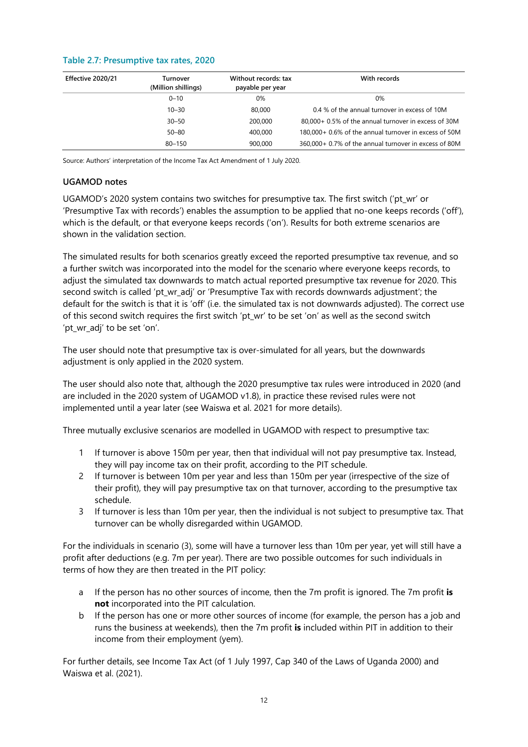#### <span id="page-15-0"></span>**Table 2.7: Presumptive tax rates, 2020**

| Effective 2020/21 | Turnover<br>(Million shillings) | Without records: tax<br>payable per year | With records                                          |
|-------------------|---------------------------------|------------------------------------------|-------------------------------------------------------|
|                   | $0 - 10$                        | 0%                                       | $0\%$                                                 |
|                   | $10 - 30$                       | 80,000                                   | 0.4 % of the annual turnover in excess of 10M         |
|                   | $30 - 50$                       | 200,000                                  | 80,000+ 0.5% of the annual turnover in excess of 30M  |
|                   | $50 - 80$                       | 400,000                                  | 180,000+ 0.6% of the annual turnover in excess of 50M |
|                   | $80 - 150$                      | 900,000                                  | 360,000+ 0.7% of the annual turnover in excess of 80M |

Source: Authors' interpretation of the Income Tax Act Amendment of 1 July 2020.

#### **UGAMOD notes**

UGAMOD's 2020 system contains two switches for presumptive tax. The first switch ('pt\_wr' or 'Presumptive Tax with records') enables the assumption to be applied that no-one keeps records ('off'), which is the default, or that everyone keeps records ('on'). Results for both extreme scenarios are shown in the validation section.

The simulated results for both scenarios greatly exceed the reported presumptive tax revenue, and so a further switch was incorporated into the model for the scenario where everyone keeps records, to adjust the simulated tax downwards to match actual reported presumptive tax revenue for 2020. This second switch is called 'pt\_wr\_adj' or 'Presumptive Tax with records downwards adjustment'; the default for the switch is that it is 'off' (i.e. the simulated tax is not downwards adjusted). The correct use of this second switch requires the first switch 'pt wr' to be set 'on' as well as the second switch 'pt\_wr\_adj' to be set 'on'.

The user should note that presumptive tax is over-simulated for all years, but the downwards adjustment is only applied in the 2020 system.

The user should also note that, although the 2020 presumptive tax rules were introduced in 2020 (and are included in the 2020 system of UGAMOD v1.8), in practice these revised rules were not implemented until a year later (see Waiswa et al. 2021 for more details).

Three mutually exclusive scenarios are modelled in UGAMOD with respect to presumptive tax:

- 1 If turnover is above 150m per year, then that individual will not pay presumptive tax. Instead, they will pay income tax on their profit, according to the PIT schedule.
- 2 If turnover is between 10m per year and less than 150m per year (irrespective of the size of their profit), they will pay presumptive tax on that turnover, according to the presumptive tax schedule.
- 3 If turnover is less than 10m per year, then the individual is not subject to presumptive tax. That turnover can be wholly disregarded within UGAMOD.

For the individuals in scenario (3), some will have a turnover less than 10m per year, yet will still have a profit after deductions (e.g. 7m per year). There are two possible outcomes for such individuals in terms of how they are then treated in the PIT policy:

- a If the person has no other sources of income, then the 7m profit is ignored. The 7m profit **is not** incorporated into the PIT calculation.
- b If the person has one or more other sources of income (for example, the person has a job and runs the business at weekends), then the 7m profit **is** included within PIT in addition to their income from their employment (yem).

For further details, see Income Tax Act (of 1 July 1997, Cap 340 of the Laws of Uganda 2000) and Waiswa et al. (2021).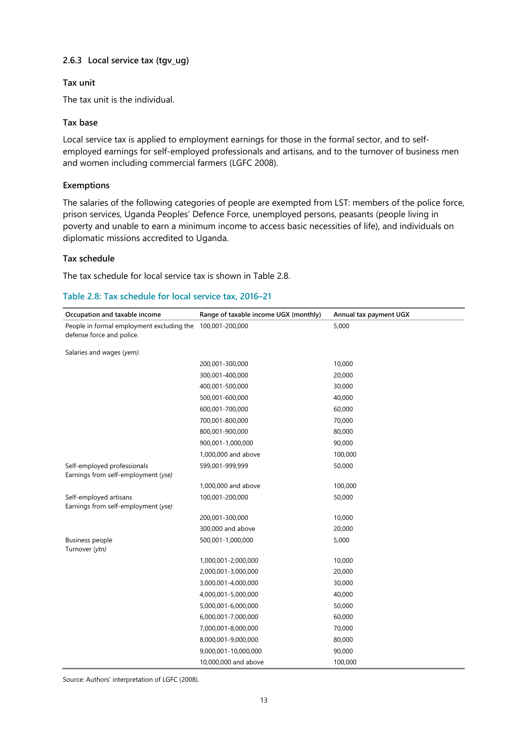#### **2.6.3 Local service tax (tgv\_ug)**

#### **Tax unit**

The tax unit is the individual.

#### **Tax base**

Local service tax is applied to employment earnings for those in the formal sector, and to selfemployed earnings for self-employed professionals and artisans, and to the turnover of business men and women including commercial farmers (LGFC 2008).

#### **Exemptions**

The salaries of the following categories of people are exempted from LST: members of the police force, prison services, Uganda Peoples' Defence Force, unemployed persons, peasants (people living in poverty and unable to earn a minimum income to access basic necessities of life), and individuals on diplomatic missions accredited to Uganda.

#### **Tax schedule**

The tax schedule for local service tax is shown in Table 2.8.

<span id="page-16-0"></span>

|  | Table 2.8: Tax schedule for local service tax, 2016-21 |  |  |  |
|--|--------------------------------------------------------|--|--|--|
|--|--------------------------------------------------------|--|--|--|

| Occupation and taxable income                                      | Range of taxable income UGX (monthly) | Annual tax payment UGX |
|--------------------------------------------------------------------|---------------------------------------|------------------------|
| People in formal employment excluding the                          | 100,001-200,000                       | 5,000                  |
| defense force and police.                                          |                                       |                        |
| Salaries and wages (yem).                                          |                                       |                        |
|                                                                    | 200,001-300,000                       | 10,000                 |
|                                                                    | 300,001-400,000                       | 20,000                 |
|                                                                    | 400,001-500,000                       | 30,000                 |
|                                                                    | 500,001-600,000                       | 40,000                 |
|                                                                    | 600,001-700,000                       | 60,000                 |
|                                                                    | 700,001-800,000                       | 70,000                 |
|                                                                    | 800,001-900,000                       | 80,000                 |
|                                                                    | 900,001-1,000,000                     | 90,000                 |
|                                                                    | 1,000,000 and above                   | 100,000                |
| Self-employed professionals<br>Earnings from self-employment (yse) | 599,001-999,999                       | 50,000                 |
|                                                                    | 1,000,000 and above                   | 100,000                |
| Self-employed artisans                                             | 100,001-200,000                       | 50,000                 |
| Earnings from self-employment (yse)                                | 200,001-300,000                       | 10,000                 |
|                                                                    | 300,000 and above                     | 20,000                 |
| <b>Business people</b>                                             | 500,001-1,000,000                     | 5,000                  |
| Turnover (ytn)                                                     |                                       |                        |
|                                                                    | 1,000,001-2,000,000                   | 10,000                 |
|                                                                    | 2,000,001-3,000,000                   | 20,000                 |
|                                                                    | 3,000,001-4,000,000                   | 30,000                 |
|                                                                    | 4,000,001-5,000,000                   | 40,000                 |
|                                                                    | 5,000,001-6,000,000                   | 50,000                 |
|                                                                    | 6,000,001-7,000,000                   | 60,000                 |
|                                                                    | 7,000,001-8,000,000                   | 70,000                 |
|                                                                    | 8,000,001-9,000,000                   | 80,000                 |
|                                                                    | 9,000,001-10,000,000                  | 90,000                 |
|                                                                    | 10,000,000 and above                  | 100,000                |

Source: Authors' interpretation of LGFC (2008).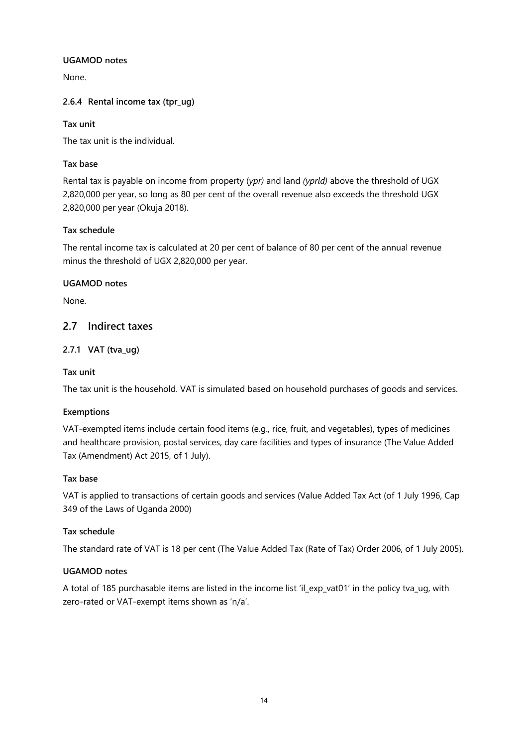#### **UGAMOD notes**

None.

#### **2.6.4 Rental income tax (tpr\_ug)**

#### **Tax unit**

The tax unit is the individual.

#### **Tax base**

Rental tax is payable on income from property (*ypr)* and land *(yprld)* above the threshold of UGX 2,820,000 per year, so long as 80 per cent of the overall revenue also exceeds the threshold UGX 2,820,000 per year (Okuja 2018).

#### **Tax schedule**

The rental income tax is calculated at 20 per cent of balance of 80 per cent of the annual revenue minus the threshold of UGX 2,820,000 per year.

#### **UGAMOD notes**

None.

### <span id="page-17-0"></span>**2.7 Indirect taxes**

#### **2.7.1 VAT (tva\_ug)**

#### **Tax unit**

The tax unit is the household. VAT is simulated based on household purchases of goods and services.

#### **Exemptions**

VAT-exempted items include certain food items (e.g., rice, fruit, and vegetables), types of medicines and healthcare provision, postal services, day care facilities and types of insurance (The Value Added Tax (Amendment) Act 2015, of 1 July).

#### **Tax base**

VAT is applied to transactions of certain goods and services (Value Added Tax Act (of 1 July 1996, Cap 349 of the Laws of Uganda 2000)

#### **Tax schedule**

The standard rate of VAT is 18 per cent (The Value Added Tax (Rate of Tax) Order 2006, of 1 July 2005).

#### **UGAMOD notes**

A total of 185 purchasable items are listed in the income list 'il\_exp\_vat01' in the policy tva\_ug, with zero-rated or VAT-exempt items shown as 'n/a'.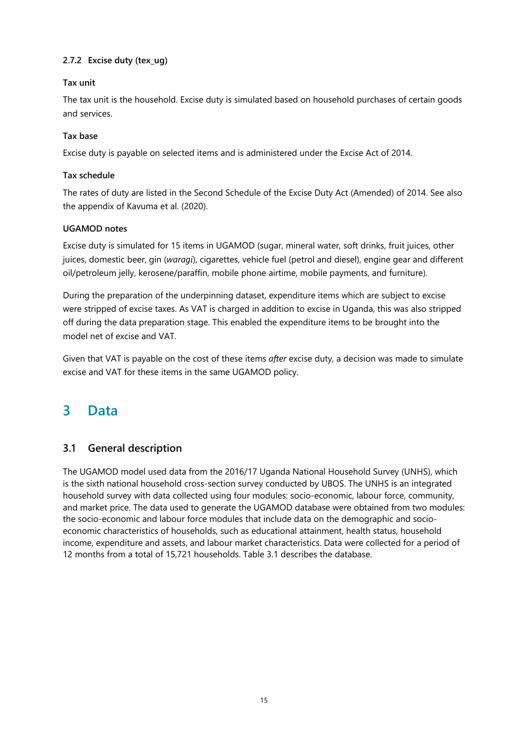### **2.7.2 Excise duty (tex\_ug)**

#### **Tax unit**

The tax unit is the household. Excise duty is simulated based on household purchases of certain goods and services.

#### **Tax base**

Excise duty is payable on selected items and is administered under the Excise Act of 2014.

#### **Tax schedule**

The rates of duty are listed in the Second Schedule of the Excise Duty Act (Amended) of 2014. See also the appendix of Kavuma et al. (2020).

#### **UGAMOD notes**

Excise duty is simulated for 15 items in UGAMOD (sugar, mineral water, soft drinks, fruit juices, other juices, domestic beer, gin (*waragi*), cigarettes, vehicle fuel (petrol and diesel), engine gear and different oil/petroleum jelly, kerosene/paraffin, mobile phone airtime, mobile payments, and furniture).

During the preparation of the underpinning dataset, expenditure items which are subject to excise were stripped of excise taxes. As VAT is charged in addition to excise in Uganda, this was also stripped off during the data preparation stage. This enabled the expenditure items to be brought into the model net of excise and VAT.

Given that VAT is payable on the cost of these items *after* excise duty, a decision was made to simulate excise and VAT for these items in the same UGAMOD policy.

# <span id="page-18-0"></span>**3 Data**

# <span id="page-18-1"></span>**3.1 General description**

The UGAMOD model used data from the 2016/17 Uganda National Household Survey (UNHS), which is the sixth national household cross-section survey conducted by UBOS. The UNHS is an integrated household survey with data collected using four modules: socio-economic, labour force, community, and market price. The data used to generate the UGAMOD database were obtained from two modules: the socio-economic and labour force modules that include data on the demographic and socioeconomic characteristics of households, such as educational attainment, health status, household income, expenditure and assets, and labour market characteristics. Data were collected for a period of 12 months from a total of 15,721 households. Table 3.1 describes the database.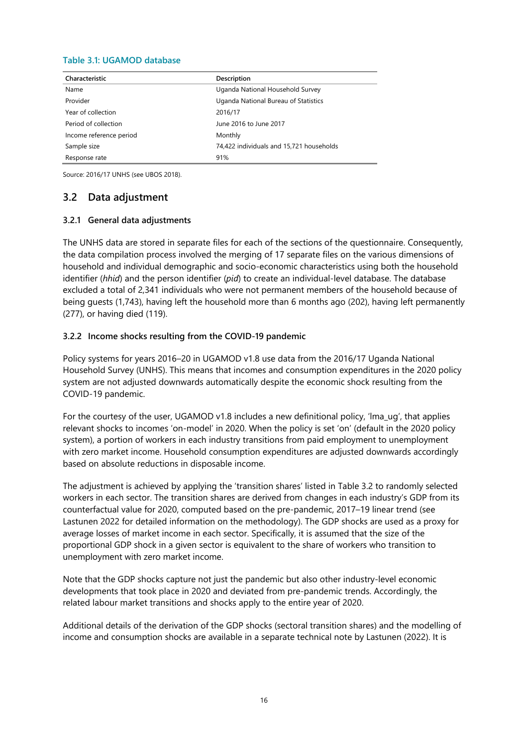#### <span id="page-19-1"></span>**Table 3.1: UGAMOD database**

| Characteristic          | Description                              |
|-------------------------|------------------------------------------|
| Name                    | Uganda National Household Survey         |
| Provider                | Uganda National Bureau of Statistics     |
| Year of collection      | 2016/17                                  |
| Period of collection    | June 2016 to June 2017                   |
| Income reference period | Monthly                                  |
| Sample size             | 74,422 individuals and 15,721 households |
| Response rate           | 91%                                      |

Source: 2016/17 UNHS (see UBOS 2018).

# <span id="page-19-0"></span>**3.2 Data adjustment**

#### **3.2.1 General data adjustments**

The UNHS data are stored in separate files for each of the sections of the questionnaire. Consequently, the data compilation process involved the merging of 17 separate files on the various dimensions of household and individual demographic and socio-economic characteristics using both the household identifier (*hhid*) and the person identifier (*pid*) to create an individual-level database. The database excluded a total of 2,341 individuals who were not permanent members of the household because of being guests (1,743), having left the household more than 6 months ago (202), having left permanently (277), or having died (119).

#### **3.2.2 Income shocks resulting from the COVID-19 pandemic**

Policy systems for years 2016–20 in UGAMOD v1.8 use data from the 2016/17 Uganda National Household Survey (UNHS). This means that incomes and consumption expenditures in the 2020 policy system are not adjusted downwards automatically despite the economic shock resulting from the COVID-19 pandemic.

For the courtesy of the user, UGAMOD v1.8 includes a new definitional policy, 'lma\_ug', that applies relevant shocks to incomes 'on-model' in 2020. When the policy is set 'on' (default in the 2020 policy system), a portion of workers in each industry transitions from paid employment to unemployment with zero market income. Household consumption expenditures are adjusted downwards accordingly based on absolute reductions in disposable income.

The adjustment is achieved by applying the 'transition shares' listed in Table 3.2 to randomly selected workers in each sector. The transition shares are derived from changes in each industry's GDP from its counterfactual value for 2020, computed based on the pre-pandemic, 2017–19 linear trend (see Lastunen 2022 for detailed information on the methodology). The GDP shocks are used as a proxy for average losses of market income in each sector. Specifically, it is assumed that the size of the proportional GDP shock in a given sector is equivalent to the share of workers who transition to unemployment with zero market income.

Note that the GDP shocks capture not just the pandemic but also other industry-level economic developments that took place in 2020 and deviated from pre-pandemic trends. Accordingly, the related labour market transitions and shocks apply to the entire year of 2020.

Additional details of the derivation of the GDP shocks (sectoral transition shares) and the modelling of income and consumption shocks are available in a separate technical note by Lastunen (2022). It is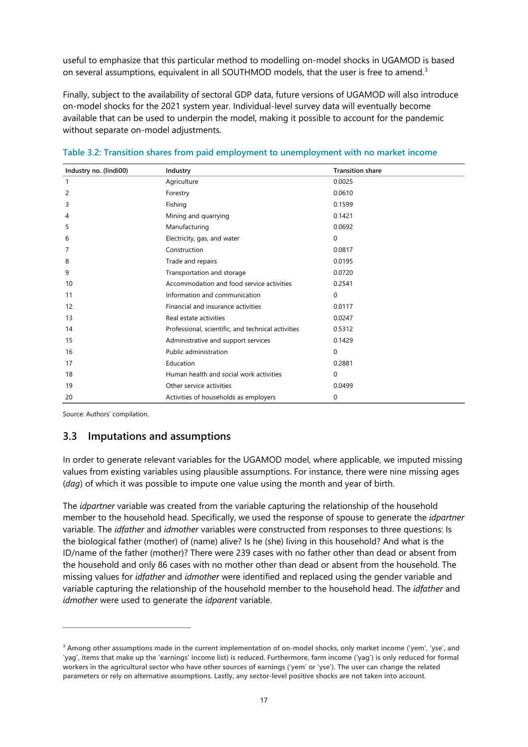useful to emphasize that this particular method to modelling on-model shocks in UGAMOD is based on several assumptions, equivalent in all SOUTHMOD models, that the user is free to amend.<sup>[3](#page-20-2)</sup>

Finally, subject to the availability of sectoral GDP data, future versions of UGAMOD will also introduce on-model shocks for the 2021 system year. Individual-level survey data will eventually become available that can be used to underpin the model, making it possible to account for the pandemic without separate on-model adjustments.

| Industry no. (lindi00) | Industry                                           | <b>Transition share</b> |
|------------------------|----------------------------------------------------|-------------------------|
| 1                      | Agriculture                                        | 0.0025                  |
| $\overline{c}$         | Forestry                                           | 0.0610                  |
| 3                      | Fishing                                            | 0.1599                  |
| 4                      | Mining and quarrying                               | 0.1421                  |
| 5                      | Manufacturing                                      | 0.0692                  |
| 6                      | Electricity, gas, and water                        | 0                       |
| 7                      | Construction                                       | 0.0817                  |
| 8                      | Trade and repairs                                  | 0.0195                  |
| 9                      | Transportation and storage                         | 0.0720                  |
| 10                     | Accommodation and food service activities          | 0.2541                  |
| 11                     | Information and communication                      | 0                       |
| 12                     | Financial and insurance activities                 | 0.0117                  |
| 13                     | Real estate activities                             | 0.0247                  |
| 14                     | Professional, scientific, and technical activities | 0.5312                  |
| 15                     | Administrative and support services                | 0.1429                  |
| 16                     | Public administration                              | 0                       |
| 17                     | Education                                          | 0.2881                  |
| 18                     | Human health and social work activities            | 0                       |
| 19                     | Other service activities                           | 0.0499                  |
| 20                     | Activities of households as employers              | 0                       |

<span id="page-20-1"></span>

|  |  |  | Table 3.2: Transition shares from paid employment to unemployment with no market income |
|--|--|--|-----------------------------------------------------------------------------------------|
|  |  |  |                                                                                         |

Source: Authors' compilation.

# <span id="page-20-0"></span>**3.3 Imputations and assumptions**

In order to generate relevant variables for the UGAMOD model, where applicable, we imputed missing values from existing variables using plausible assumptions. For instance, there were nine missing ages (*dag*) of which it was possible to impute one value using the month and year of birth.

The *idpartner* variable was created from the variable capturing the relationship of the household member to the household head. Specifically, we used the response of spouse to generate the *idpartner* variable. The *idfather* and *idmother* variables were constructed from responses to three questions: Is the biological father (mother) of (name) alive? Is he (she) living in this household? And what is the ID/name of the father (mother)? There were 239 cases with no father other than dead or absent from the household and only 86 cases with no mother other than dead or absent from the household. The missing values for *idfather* and *idmother* were identified and replaced using the gender variable and variable capturing the relationship of the household member to the household head. The *idfather* and *idmother* were used to generate the *idparent* variable.

<span id="page-20-2"></span>**<sup>3</sup> Among other assumptions made in the current implementation of on-model shocks, only market income ('yem', 'yse', and 'yag', items that make up the 'earnings' income list) is reduced. Furthermore, farm income ('yag') is only reduced for formal workers in the agricultural sector who have other sources of earnings ('yem' or 'yse'). The user can change the related parameters or rely on alternative assumptions. Lastly, any sector-level positive shocks are not taken into account.**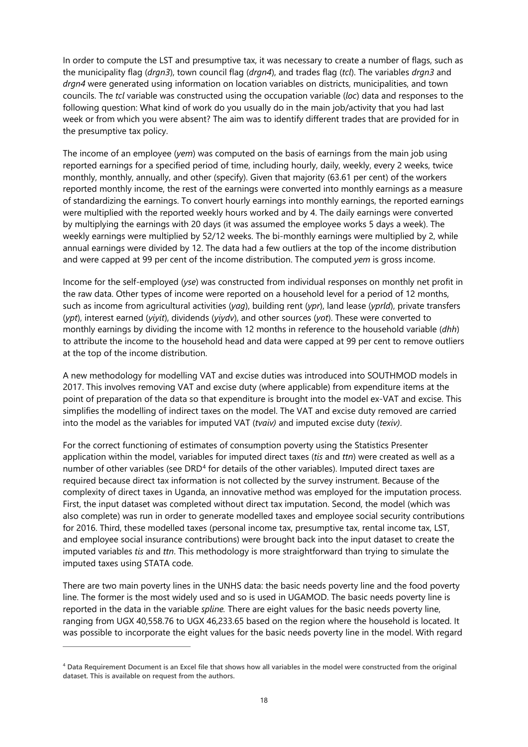In order to compute the LST and presumptive tax, it was necessary to create a number of flags, such as the municipality flag (*drgn3*), town council flag (*drgn4*), and trades flag (*tcl*). The variables *drgn3* and *drgn4* were generated using information on location variables on districts, municipalities, and town councils. The *tcl* variable was constructed using the occupation variable (*loc*) data and responses to the following question: What kind of work do you usually do in the main job/activity that you had last week or from which you were absent? The aim was to identify different trades that are provided for in the presumptive tax policy.

The income of an employee (*yem*) was computed on the basis of earnings from the main job using reported earnings for a specified period of time, including hourly, daily, weekly, every 2 weeks, twice monthly, monthly, annually, and other (specify). Given that majority (63.61 per cent) of the workers reported monthly income, the rest of the earnings were converted into monthly earnings as a measure of standardizing the earnings. To convert hourly earnings into monthly earnings, the reported earnings were multiplied with the reported weekly hours worked and by 4. The daily earnings were converted by multiplying the earnings with 20 days (it was assumed the employee works 5 days a week). The weekly earnings were multiplied by 52/12 weeks. The bi-monthly earnings were multiplied by 2, while annual earnings were divided by 12. The data had a few outliers at the top of the income distribution and were capped at 99 per cent of the income distribution. The computed *yem* is gross income.

Income for the self-employed (*yse*) was constructed from individual responses on monthly net profit in the raw data. Other types of income were reported on a household level for a period of 12 months, such as income from agricultural activities (*yag*), building rent (*ypr*), land lease (*yprld*), private transfers (*ypt*), interest earned (*yiyit*), dividends (*yiydv*), and other sources (*yot*). These were converted to monthly earnings by dividing the income with 12 months in reference to the household variable (*dhh*) to attribute the income to the household head and data were capped at 99 per cent to remove outliers at the top of the income distribution.

A new methodology for modelling VAT and excise duties was introduced into SOUTHMOD models in 2017. This involves removing VAT and excise duty (where applicable) from expenditure items at the point of preparation of the data so that expenditure is brought into the model ex-VAT and excise. This simplifies the modelling of indirect taxes on the model. The VAT and excise duty removed are carried into the model as the variables for imputed VAT (*tvaiv)* and imputed excise duty (*texiv)*.

For the correct functioning of estimates of consumption poverty using the Statistics Presenter application within the model, variables for imputed direct taxes (*tis* and *ttn*) were created as well as a number of other variables (see DRD<sup>[4](#page-21-0)</sup> for details of the other variables). Imputed direct taxes are required because direct tax information is not collected by the survey instrument. Because of the complexity of direct taxes in Uganda, an innovative method was employed for the imputation process. First, the input dataset was completed without direct tax imputation. Second, the model (which was also complete) was run in order to generate modelled taxes and employee social security contributions for 2016. Third, these modelled taxes (personal income tax, presumptive tax, rental income tax, LST, and employee social insurance contributions) were brought back into the input dataset to create the imputed variables *tis* and *ttn*. This methodology is more straightforward than trying to simulate the imputed taxes using STATA code.

There are two main poverty lines in the UNHS data: the basic needs poverty line and the food poverty line. The former is the most widely used and so is used in UGAMOD. The basic needs poverty line is reported in the data in the variable *spline.* There are eight values for the basic needs poverty line, ranging from UGX 40,558.76 to UGX 46,233.65 based on the region where the household is located. It was possible to incorporate the eight values for the basic needs poverty line in the model. With regard

<span id="page-21-0"></span>**<sup>4</sup> Data Requirement Document is an Excel file that shows how all variables in the model were constructed from the original dataset. This is available on request from the authors.**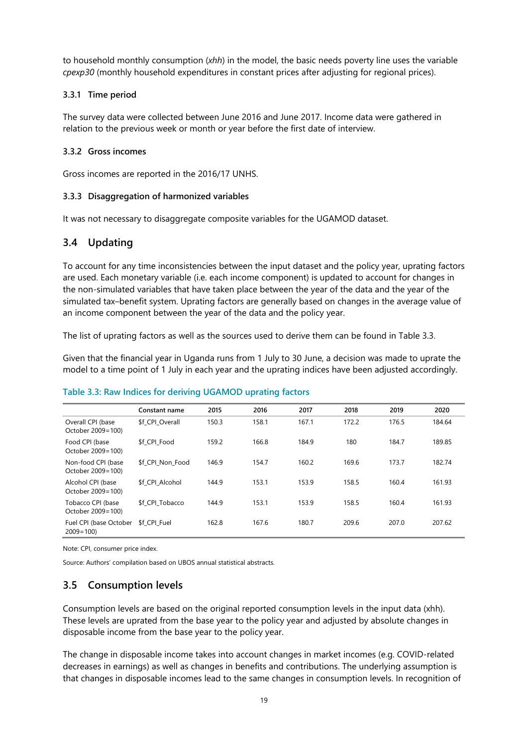to household monthly consumption (*xhh*) in the model, the basic needs poverty line uses the variable *cpexp30* (monthly household expenditures in constant prices after adjusting for regional prices).

#### **3.3.1 Time period**

The survey data were collected between June 2016 and June 2017. Income data were gathered in relation to the previous week or month or year before the first date of interview.

#### **3.3.2 Gross incomes**

Gross incomes are reported in the 2016/17 UNHS.

#### **3.3.3 Disaggregation of harmonized variables**

It was not necessary to disaggregate composite variables for the UGAMOD dataset.

# <span id="page-22-0"></span>**3.4 Updating**

To account for any time inconsistencies between the input dataset and the policy year, uprating factors are used. Each monetary variable (i.e. each income component) is updated to account for changes in the non-simulated variables that have taken place between the year of the data and the year of the simulated tax–benefit system. Uprating factors are generally based on changes in the average value of an income component between the year of the data and the policy year.

The list of uprating factors as well as the sources used to derive them can be found in Table 3.3.

Given that the financial year in Uganda runs from 1 July to 30 June, a decision was made to uprate the model to a time point of 1 July in each year and the uprating indices have been adjusted accordingly.

|                                         | Constant name    | 2015  | 2016  | 2017  | 2018  | 2019  | 2020   |
|-----------------------------------------|------------------|-------|-------|-------|-------|-------|--------|
| Overall CPI (base<br>October 2009=100)  | \$f CPI Overall  | 150.3 | 158.1 | 167.1 | 172.2 | 176.5 | 184.64 |
| Food CPI (base<br>October 2009=100)     | \$f CPI Food     | 159.2 | 166.8 | 184.9 | 180   | 184.7 | 189.85 |
| Non-food CPI (base<br>October 2009=100) | \$f CPI Non Food | 146.9 | 154.7 | 160.2 | 169.6 | 173.7 | 182.74 |
| Alcohol CPI (base<br>October 2009=100)  | \$f CPI Alcohol  | 144.9 | 153.1 | 153.9 | 158.5 | 160.4 | 161.93 |
| Tobacco CPI (base<br>October 2009=100)  | \$f CPI Tobacco  | 144.9 | 153.1 | 153.9 | 158.5 | 160.4 | 161.93 |
| Fuel CPI (base October<br>$2009 = 100$  | \$f CPI Fuel     | 162.8 | 167.6 | 180.7 | 209.6 | 207.0 | 207.62 |

#### <span id="page-22-2"></span>**Table 3.3: Raw Indices for deriving UGAMOD uprating factors**

Note: CPI, consumer price index.

Source: Authors' compilation based on UBOS annual statistical abstracts.

# <span id="page-22-1"></span>**3.5 Consumption levels**

Consumption levels are based on the original reported consumption levels in the input data (xhh). These levels are uprated from the base year to the policy year and adjusted by absolute changes in disposable income from the base year to the policy year.

The change in disposable income takes into account changes in market incomes (e.g. COVID-related decreases in earnings) as well as changes in benefits and contributions. The underlying assumption is that changes in disposable incomes lead to the same changes in consumption levels. In recognition of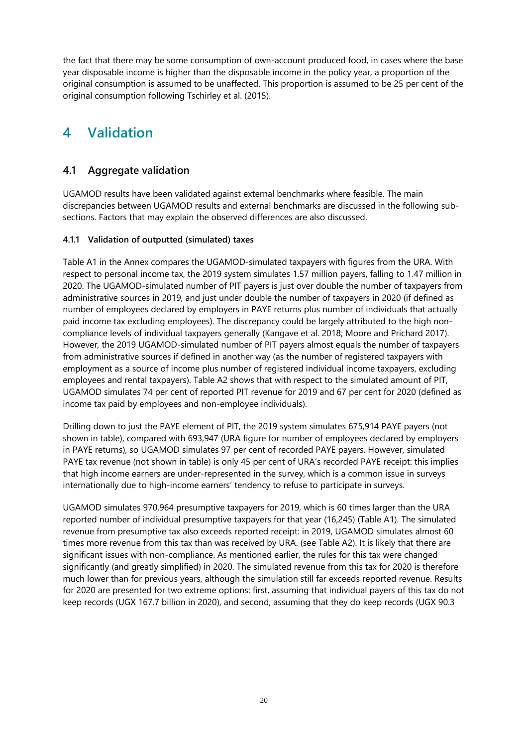the fact that there may be some consumption of own-account produced food, in cases where the base year disposable income is higher than the disposable income in the policy year, a proportion of the original consumption is assumed to be unaffected. This proportion is assumed to be 25 per cent of the original consumption following Tschirley et al. (2015).

# <span id="page-23-0"></span>**4 Validation**

# <span id="page-23-1"></span>**4.1 Aggregate validation**

UGAMOD results have been validated against external benchmarks where feasible. The main discrepancies between UGAMOD results and external benchmarks are discussed in the following subsections. Factors that may explain the observed differences are also discussed.

### **4.1.1 Validation of outputted (simulated) taxes**

Table A1 in the Annex compares the UGAMOD-simulated taxpayers with figures from the URA. With respect to personal income tax, the 2019 system simulates 1.57 million payers, falling to 1.47 million in 2020. The UGAMOD-simulated number of PIT payers is just over double the number of taxpayers from administrative sources in 2019, and just under double the number of taxpayers in 2020 (if defined as number of employees declared by employers in PAYE returns plus number of individuals that actually paid income tax excluding employees). The discrepancy could be largely attributed to the high noncompliance levels of individual taxpayers generally (Kangave et al. 2018; Moore and Prichard 2017). However, the 2019 UGAMOD-simulated number of PIT payers almost equals the number of taxpayers from administrative sources if defined in another way (as the number of registered taxpayers with employment as a source of income plus number of registered individual income taxpayers, excluding employees and rental taxpayers). Table A2 shows that with respect to the simulated amount of PIT, UGAMOD simulates 74 per cent of reported PIT revenue for 2019 and 67 per cent for 2020 (defined as income tax paid by employees and non-employee individuals).

Drilling down to just the PAYE element of PIT, the 2019 system simulates 675,914 PAYE payers (not shown in table), compared with 693,947 (URA figure for number of employees declared by employers in PAYE returns), so UGAMOD simulates 97 per cent of recorded PAYE payers. However, simulated PAYE tax revenue (not shown in table) is only 45 per cent of URA's recorded PAYE receipt: this implies that high income earners are under-represented in the survey, which is a common issue in surveys internationally due to high-income earners' tendency to refuse to participate in surveys.

UGAMOD simulates 970,964 presumptive taxpayers for 2019, which is 60 times larger than the URA reported number of individual presumptive taxpayers for that year (16,245) (Table A1). The simulated revenue from presumptive tax also exceeds reported receipt: in 2019, UGAMOD simulates almost 60 times more revenue from this tax than was received by URA. (see Table A2). It is likely that there are significant issues with non-compliance. As mentioned earlier, the rules for this tax were changed significantly (and greatly simplified) in 2020. The simulated revenue from this tax for 2020 is therefore much lower than for previous years, although the simulation still far exceeds reported revenue. Results for 2020 are presented for two extreme options: first, assuming that individual payers of this tax do not keep records (UGX 167.7 billion in 2020), and second, assuming that they do keep records (UGX 90.3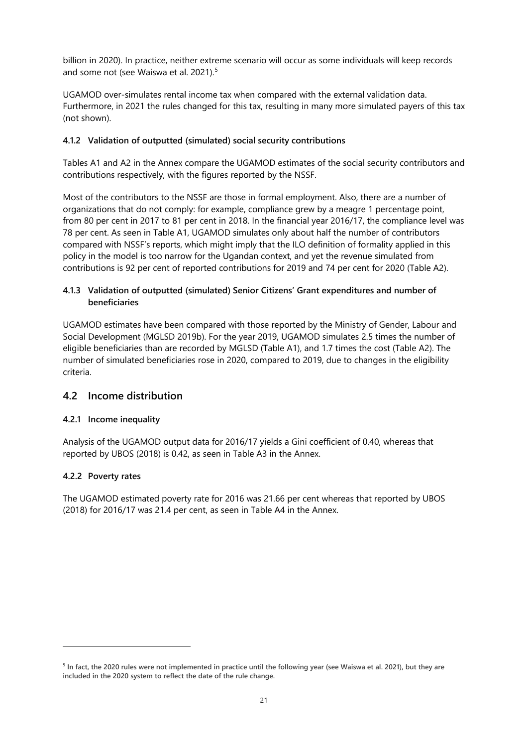billion in 2020). In practice, neither extreme scenario will occur as some individuals will keep records and some not (see Waiswa et al. 2021).[5](#page-24-1)

UGAMOD over-simulates rental income tax when compared with the external validation data. Furthermore, in 2021 the rules changed for this tax, resulting in many more simulated payers of this tax (not shown).

#### **4.1.2 Validation of outputted (simulated) social security contributions**

Tables A1 and A2 in the Annex compare the UGAMOD estimates of the social security contributors and contributions respectively, with the figures reported by the NSSF.

Most of the contributors to the NSSF are those in formal employment. Also, there are a number of organizations that do not comply: for example, compliance grew by a meagre 1 percentage point, from 80 per cent in 2017 to 81 per cent in 2018. In the financial year 2016/17, the compliance level was 78 per cent. As seen in Table A1, UGAMOD simulates only about half the number of contributors compared with NSSF's reports, which might imply that the ILO definition of formality applied in this policy in the model is too narrow for the Ugandan context, and yet the revenue simulated from contributions is 92 per cent of reported contributions for 2019 and 74 per cent for 2020 (Table A2).

#### **4.1.3 Validation of outputted (simulated) Senior Citizens' Grant expenditures and number of beneficiaries**

UGAMOD estimates have been compared with those reported by the Ministry of Gender, Labour and Social Development (MGLSD 2019b). For the year 2019, UGAMOD simulates 2.5 times the number of eligible beneficiaries than are recorded by MGLSD (Table A1), and 1.7 times the cost (Table A2). The number of simulated beneficiaries rose in 2020, compared to 2019, due to changes in the eligibility criteria.

# <span id="page-24-0"></span>**4.2 Income distribution**

#### **4.2.1 Income inequality**

Analysis of the UGAMOD output data for 2016/17 yields a Gini coefficient of 0.40, whereas that reported by UBOS (2018) is 0.42, as seen in Table A3 in the Annex.

#### **4.2.2 Poverty rates**

The UGAMOD estimated poverty rate for 2016 was 21.66 per cent whereas that reported by UBOS (2018) for 2016/17 was 21.4 per cent, as seen in Table A4 in the Annex.

<span id="page-24-1"></span>**<sup>5</sup> In fact, the 2020 rules were not implemented in practice until the following year (see Waiswa et al. 2021), but they are included in the 2020 system to reflect the date of the rule change.**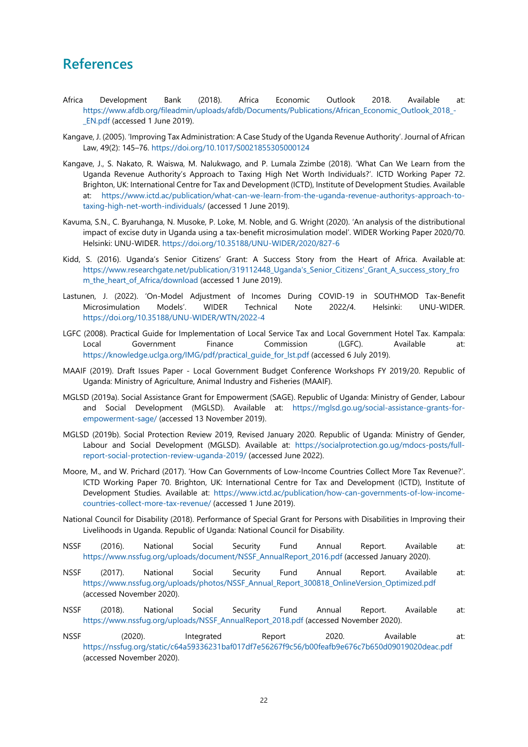# <span id="page-25-0"></span>**References**

- Africa Development Bank (2018). Africa Economic Outlook 2018. Available at: [https://www.afdb.org/fileadmin/uploads/afdb/Documents/Publications/African\\_Economic\\_Outlook\\_2018\\_-](https://www.afdb.org/fileadmin/uploads/afdb/Documents/Publications/African_Economic_Outlook_2018_-_EN.pdf) [\\_EN.pdf](https://www.afdb.org/fileadmin/uploads/afdb/Documents/Publications/African_Economic_Outlook_2018_-_EN.pdf) (accessed 1 June 2019).
- Kangave, J. (2005). 'Improving Tax Administration: A Case Study of the Uganda Revenue Authority'. Journal of African Law, 49(2): 145–76.<https://doi.org/10.1017/S0021855305000124>
- Kangave, J., S. Nakato, R. Waiswa, M. Nalukwago, and P. Lumala Zzimbe (2018). 'What Can We Learn from the Uganda Revenue Authority's Approach to Taxing High Net Worth Individuals?'. ICTD Working Paper 72. Brighton, UK: International Centre for Tax and Development (ICTD), Institute of Development Studies. Available at: [https://www.ictd.ac/publication/what-can-we-learn-from-the-uganda-revenue-authoritys-approach-to](https://www.ictd.ac/publication/what-can-we-learn-from-the-uganda-revenue-authoritys-approach-to-taxing-high-net-worth-individuals/)[taxing-high-net-worth-individuals/](https://www.ictd.ac/publication/what-can-we-learn-from-the-uganda-revenue-authoritys-approach-to-taxing-high-net-worth-individuals/) (accessed 1 June 2019).
- Kavuma, S.N., C. Byaruhanga, N. Musoke, P. Loke, M. Noble, and G. Wright (2020). 'An analysis of the distributional impact of excise duty in Uganda using a tax-benefit microsimulation model'. WIDER Working Paper 2020/70. Helsinki: UNU-WIDER.<https://doi.org/10.35188/UNU-WIDER/2020/827-6>
- Kidd, S. (2016). Uganda's Senior Citizens' Grant: A Success Story from the Heart of Africa. Available at: [https://www.researchgate.net/publication/319112448\\_Uganda's\\_Senior\\_Citizens'\\_Grant\\_A\\_success\\_story\\_fro](https://www.researchgate.net/publication/319112448_Uganda) [m\\_the\\_heart\\_of\\_Africa/download](https://www.researchgate.net/publication/319112448_Uganda) (accessed 1 June 2019).
- Lastunen, J. (2022). 'On-Model Adjustment of Incomes During COVID-19 in SOUTHMOD Tax-Benefit Microsimulation Models'. WIDER Technical Note 2022/4. Helsinki: UNU-WIDER. <https://doi.org/10.35188/UNU-WIDER/WTN/2022-4>
- LGFC (2008). Practical Guide for Implementation of Local Service Tax and Local Government Hotel Tax. Kampala: Local Government Finance Commission (LGFC). Available at: [https://knowledge.uclga.org/IMG/pdf/practical\\_guide\\_for\\_lst.pdf](https://knowledge.uclga.org/IMG/pdf/practical_guide_for_lst.pdf) (accessed 6 July 2019).
- MAAIF (2019). Draft Issues Paper Local Government Budget Conference Workshops FY 2019/20. Republic of Uganda: Ministry of Agriculture, Animal Industry and Fisheries (MAAIF).
- MGLSD (2019a). Social Assistance Grant for Empowerment (SAGE). Republic of Uganda: Ministry of Gender, Labour and Social Development (MGLSD). Available at: [https://mglsd.go.ug/social-assistance-grants-for](https://mglsd.go.ug/social-assistance-grants-for-empowerment-sage/)[empowerment-sage/](https://mglsd.go.ug/social-assistance-grants-for-empowerment-sage/) (accessed 13 November 2019).
- MGLSD (2019b). Social Protection Review 2019, Revised January 2020. Republic of Uganda: Ministry of Gender, Labour and Social Development (MGLSD). Available at: [https://socialprotection.go.ug/mdocs-posts/full](https://socialprotection.go.ug/mdocs-posts/full-report-social-protection-review-uganda-2019/)[report-social-protection-review-uganda-2019/](https://socialprotection.go.ug/mdocs-posts/full-report-social-protection-review-uganda-2019/) (accessed June 2022).
- Moore, M., and W. Prichard (2017). 'How Can Governments of Low-Income Countries Collect More Tax Revenue?'. ICTD Working Paper 70. Brighton, UK: International Centre for Tax and Development (ICTD), Institute of Development Studies. Available at: [https://www.ictd.ac/publication/how-can-governments-of-low-income](https://www.ictd.ac/publication/how-can-governments-of-low-income-countries-collect-more-tax-revenue/)[countries-collect-more-tax-revenue/](https://www.ictd.ac/publication/how-can-governments-of-low-income-countries-collect-more-tax-revenue/) (accessed 1 June 2019).
- National Council for Disability (2018). Performance of Special Grant for Persons with Disabilities in Improving their Livelihoods in Uganda. Republic of Uganda: National Council for Disability.
- NSSF (2016). National Social Security Fund Annual Report. Available at: [https://www.nssfug.org/uploads/document/NSSF\\_AnnualReport\\_2016.pdf](https://www.nssfug.org/uploads/document/NSSF_AnnualReport_2016.pdf) (accessed January 2020).
- NSSF (2017). National Social Security Fund Annual Report. Available at: [https://www.nssfug.org/uploads/photos/NSSF\\_Annual\\_Report\\_300818\\_OnlineVersion\\_Optimized.pdf](https://www.nssfug.org/uploads/photos/NSSF_Annual_Report_300818_OnlineVersion_Optimized.pdf) (accessed November 2020).
- NSSF (2018). National Social Security Fund Annual Report. Available at: [https://www.nssfug.org/uploads/NSSF\\_AnnualReport\\_2018.pdf](https://www.nssfug.org/uploads/NSSF_AnnualReport_2018.pdf) (accessed November 2020).
- NSSF (2020). Integrated Report 2020. Available at: <https://nssfug.org/static/c64a59336231baf017df7e56267f9c56/b00feafb9e676c7b650d09019020deac.pdf> (accessed November 2020).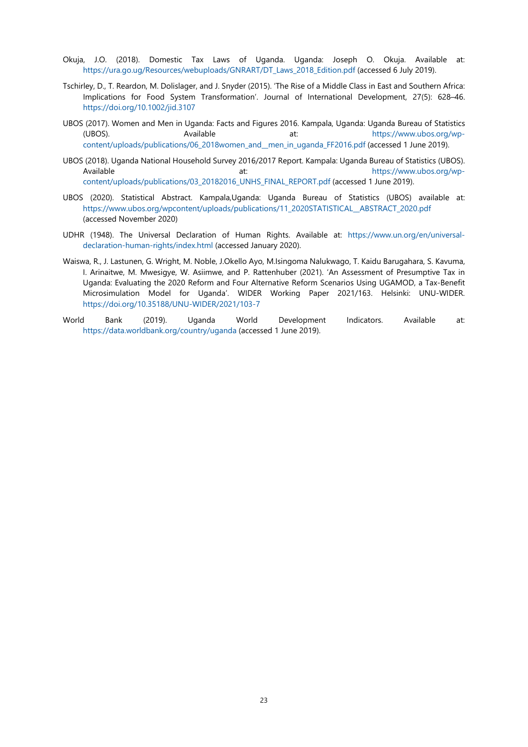- Okuja, J.O. (2018). Domestic Tax Laws of Uganda. Uganda: Joseph O. Okuja. Available at: [https://ura.go.ug/Resources/webuploads/GNRART/DT\\_Laws\\_2018\\_Edition.pdf](https://ura.go.ug/Resources/webuploads/GNRART/DT_Laws_2018_Edition.pdf) (accessed 6 July 2019).
- Tschirley, D., T. Reardon, M. Dolislager, and J. Snyder (2015). 'The Rise of a Middle Class in East and Southern Africa: Implications for Food System Transformation'. Journal of International Development, 27(5): 628–46. <https://doi.org/10.1002/jid.3107>
- UBOS (2017). Women and Men in Uganda: Facts and Figures 2016. Kampala, Uganda: Uganda Bureau of Statistics (UBOS). Available at: [https://www.ubos.org/wp](https://www.ubos.org/wp-content/uploads/publications/06_2018women_and__men_in_uganda_FF2016.pdf)[content/uploads/publications/06\\_2018women\\_and\\_\\_men\\_in\\_uganda\\_FF2016.pdf](https://www.ubos.org/wp-content/uploads/publications/06_2018women_and__men_in_uganda_FF2016.pdf) (accessed 1 June 2019).
- UBOS (2018). Uganda National Household Survey 2016/2017 Report. Kampala: Uganda Bureau of Statistics (UBOS). Available at: [https://www.ubos.org/wp](https://www.ubos.org/wp-content/uploads/publications/03_20182016_UNHS_FINAL_REPORT.pdf)[content/uploads/publications/03\\_20182016\\_UNHS\\_FINAL\\_REPORT.pdf](https://www.ubos.org/wp-content/uploads/publications/03_20182016_UNHS_FINAL_REPORT.pdf) (accessed 1 June 2019).
- UBOS (2020). Statistical Abstract. Kampala,Uganda: Uganda Bureau of Statistics (UBOS) available at: [https://www.ubos.org/wpcontent/uploads/publications/11\\_2020STATISTICAL\\_\\_ABSTRACT\\_2020.pdf](https://www.ubos.org/wpcontent/uploads/publications/11_2020STATISTICAL__ABSTRACT_2020.pdf) (accessed November 2020)
- UDHR (1948). The Universal Declaration of Human Rights. Available at: [https://www.un.org/en/universal](https://www.un.org/en/universal-declaration-human-rights/index.html)[declaration-human-rights/index.html](https://www.un.org/en/universal-declaration-human-rights/index.html) (accessed January 2020).
- Waiswa, R., J. Lastunen, G. Wright, M. Noble, J.Okello Ayo, M.Isingoma Nalukwago, T. Kaidu Barugahara, S. Kavuma, I. Arinaitwe, M. Mwesigye, W. Asiimwe, and P. Rattenhuber (2021). 'An Assessment of Presumptive Tax in Uganda: Evaluating the 2020 Reform and Four Alternative Reform Scenarios Using UGAMOD, a Tax-Benefit Microsimulation Model for Uganda'. WIDER Working Paper 2021/163. Helsinki: UNU-WIDER. <https://doi.org/10.35188/UNU-WIDER/2021/103-7>
- World Bank (2019). Uganda World Development Indicators. Available at: <https://data.worldbank.org/country/uganda> (accessed 1 June 2019).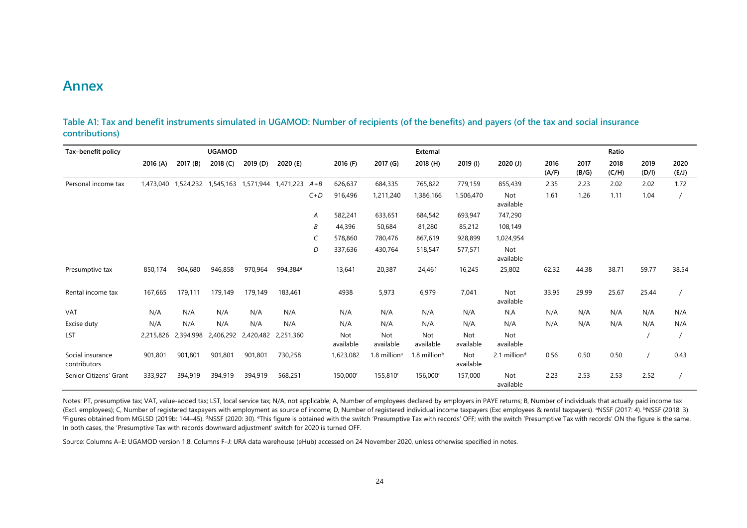# **Annex**

| Tax-benefit policy               |           |           | <b>UGAMOD</b> |           |                      |       |                      |                            | External                 |                  |                          |               |               | Ratio         |               |               |
|----------------------------------|-----------|-----------|---------------|-----------|----------------------|-------|----------------------|----------------------------|--------------------------|------------------|--------------------------|---------------|---------------|---------------|---------------|---------------|
|                                  | 2016 (A)  | 2017 (B)  | 2018 (C)      | 2019 (D)  | 2020 (E)             |       | 2016 (F)             | 2017 (G)                   | 2018 (H)                 | $2019$ (I)       | 2020(J)                  | 2016<br>(A/F) | 2017<br>(B/G) | 2018<br>(C/H) | 2019<br>(D/I) | 2020<br>(E/J) |
| Personal income tax              | 1,473,040 | 1,524,232 | 1,545,163     | 1,571,944 | 1,471,223            | $A+B$ | 626,637              | 684,335                    | 765,822                  | 779,159          | 855,439                  | 2.35          | 2.23          | 2.02          | 2.02          | 1.72          |
|                                  |           |           |               |           |                      | $C+D$ | 916,496              | 1,211,240                  | 1,386,166                | 1,506,470        | Not<br>available         | 1.61          | 1.26          | 1.11          | 1.04          |               |
|                                  |           |           |               |           |                      | Α     | 582,241              | 633,651                    | 684,542                  | 693,947          | 747,290                  |               |               |               |               |               |
|                                  |           |           |               |           |                      | B     | 44,396               | 50,684                     | 81,280                   | 85,212           | 108,149                  |               |               |               |               |               |
|                                  |           |           |               |           |                      |       | 578,860              | 780,476                    | 867,619                  | 928,899          | 1,024,954                |               |               |               |               |               |
|                                  |           |           |               |           |                      | D     | 337,636              | 430,764                    | 518,547                  | 577,571          | Not<br>available         |               |               |               |               |               |
| Presumptive tax                  | 850,174   | 904.680   | 946,858       | 970,964   | 994,384 <sup>e</sup> |       | 13,641               | 20,387                     | 24,461                   | 16,245           | 25,802                   | 62.32         | 44.38         | 38.71         | 59.77         | 38.54         |
| Rental income tax                | 167,665   | 179,111   | 179,149       | 179,149   | 183,461              |       | 4938                 | 5,973                      | 6,979                    | 7,041            | Not<br>available         | 33.95         | 29.99         | 25.67         | 25.44         |               |
| <b>VAT</b>                       | N/A       | N/A       | N/A           | N/A       | N/A                  |       | N/A                  | N/A                        | N/A                      | N/A              | N.A                      | N/A           | N/A           | N/A           | N/A           | N/A           |
| Excise duty                      | N/A       | N/A       | N/A           | N/A       | N/A                  |       | N/A                  | N/A                        | N/A                      | N/A              | N/A                      | N/A           | N/A           | N/A           | N/A           | N/A           |
| LST                              | 2,215,826 | 2,394,998 | 2,406,292     | 2,420,482 | 2,251,360            |       | Not<br>available     | Not<br>available           | Not<br>available         | Not<br>available | Not<br>available         |               |               |               |               |               |
| Social insurance<br>contributors | 901,801   | 901,801   | 901,801       | 901,801   | 730,258              |       | 1,623,082            | $1.8$ million <sup>a</sup> | 1.8 million <sup>b</sup> | Not<br>available | 2.1 million <sup>d</sup> | 0.56          | 0.50          | 0.50          |               | 0.43          |
| Senior Citizens' Grant           | 333,927   | 394,919   | 394,919       | 394,919   | 568,251              |       | 150,000 <sup>c</sup> | 155,810 <sup>c</sup>       | 156,000 <sup>c</sup>     | 157,000          | Not<br>available         | 2.23          | 2.53          | 2.53          | 2.52          |               |

**Table A1: Tax and benefit instruments simulated in UGAMOD: Number of recipients (of the benefits) and payers (of the tax and social insurance contributions)**

<span id="page-27-1"></span><span id="page-27-0"></span>Notes: PT, presumptive tax; VAT, value-added tax; LST, local service tax; N/A, not applicable; A, Number of employees declared by employers in PAYE returns; B, Number of individuals that actually paid income tax (Excl. employees); C, Number of registered taxpayers with employment as source of income; D, Number of registered individual income taxpayers (Exc employees & rental taxpayers). ªNSSF (2017: 4). <sup>b</sup>NSSF (2018: 3).<br>'Figures In both cases, the 'Presumptive Tax with records downward adjustment' switch for 2020 is turned OFF.

Source: Columns A–E: UGAMOD version 1.8. Columns F–J: URA data warehouse (eHub) accessed on 24 November 2020, unless otherwise specified in notes.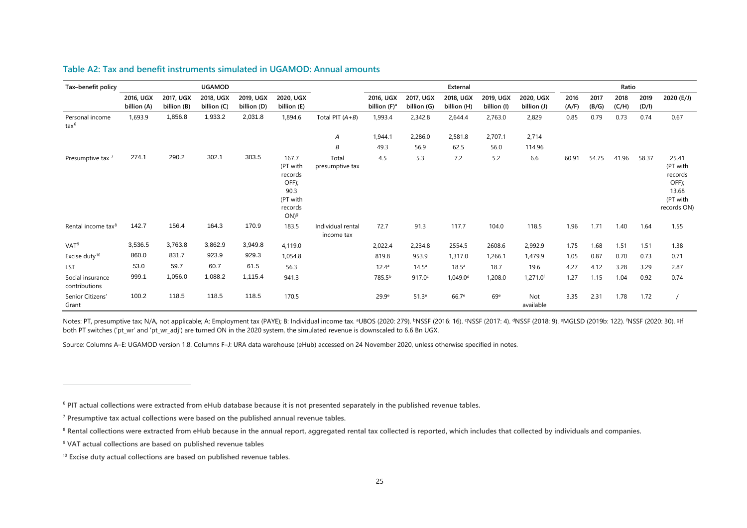| Tax-benefit policy                |                          |                          | <b>UGAMOD</b>            |                          |                                                                                           |                                 |                                       |                          | External                 |                          |                          |               |               | Ratio         |               |                                                                           |
|-----------------------------------|--------------------------|--------------------------|--------------------------|--------------------------|-------------------------------------------------------------------------------------------|---------------------------------|---------------------------------------|--------------------------|--------------------------|--------------------------|--------------------------|---------------|---------------|---------------|---------------|---------------------------------------------------------------------------|
|                                   | 2016, UGX<br>billion (A) | 2017, UGX<br>billion (B) | 2018, UGX<br>billion (C) | 2019, UGX<br>billion (D) | 2020, UGX<br>billion (E)                                                                  |                                 | 2016, UGX<br>billion (F) <sup>a</sup> | 2017, UGX<br>billion (G) | 2018, UGX<br>billion (H) | 2019, UGX<br>billion (I) | 2020, UGX<br>billion (J) | 2016<br>(A/F) | 2017<br>(B/G) | 2018<br>(C/H) | 2019<br>(D/I) | 2020 (E/J)                                                                |
| Personal income<br>$\text{tax}^6$ | 1,693.9                  | 1,856.8                  | 1,933.2                  | 2,031.8                  | 1,894.6                                                                                   | Total PIT $(A+B)$               | 1,993.4                               | 2,342.8                  | 2,644.4                  | 2,763.0                  | 2,829                    | 0.85          | 0.79          | 0.73          | 0.74          | 0.67                                                                      |
|                                   |                          |                          |                          |                          |                                                                                           | Α                               | 1,944.1                               | 2,286.0                  | 2,581.8                  | 2,707.1                  | 2,714                    |               |               |               |               |                                                                           |
|                                   |                          |                          |                          |                          |                                                                                           | В                               | 49.3                                  | 56.9                     | 62.5                     | 56.0                     | 114.96                   |               |               |               |               |                                                                           |
| Presumptive tax <sup>7</sup>      | 274.1                    | 290.2                    | 302.1                    | 303.5                    | 167.7<br>(PT with<br>records<br>OFF);<br>90.3<br>(PT with<br>records<br>$ON$ <sup>9</sup> | Total<br>presumptive tax        | 4.5                                   | 5.3                      | 7.2                      | 5.2                      | 6.6                      | 60.91         | 54.75         | 41.96         | 58.37         | 25.41<br>(PT with<br>records<br>OFF);<br>13.68<br>(PT with<br>records ON) |
| Rental income tax <sup>8</sup>    | 142.7                    | 156.4                    | 164.3                    | 170.9                    | 183.5                                                                                     | Individual rental<br>income tax | 72.7                                  | 91.3                     | 117.7                    | 104.0                    | 118.5                    | 1.96          | 1.71          | 1.40          | 1.64          | 1.55                                                                      |
| VAT <sup>9</sup>                  | 3,536.5                  | 3,763.8                  | 3,862.9                  | 3,949.8                  | 4,119.0                                                                                   |                                 | 2,022.4                               | 2,234.8                  | 2554.5                   | 2608.6                   | 2,992.9                  | 1.75          | 1.68          | 1.51          | 1.51          | 1.38                                                                      |
| Excise duty <sup>10</sup>         | 860.0                    | 831.7                    | 923.9                    | 929.3                    | 1,054.8                                                                                   |                                 | 819.8                                 | 953.9                    | 1,317.0                  | 1,266.1                  | 1,479.9                  | 1.05          | 0.87          | 0.70          | 0.73          | 0.71                                                                      |
| LST                               | 53.0                     | 59.7                     | 60.7                     | 61.5                     | 56.3                                                                                      |                                 | $12.4^a$                              | $14.5^{\circ}$           | 18.5 <sup>a</sup>        | 18.7                     | 19.6                     | 4.27          | 4.12          | 3.28          | 3.29          | 2.87                                                                      |
| Social insurance<br>contributions | 999.1                    | 1,056.0                  | 1,088.2                  | 1,115.4                  | 941.3                                                                                     |                                 | 785.5 <sup>b</sup>                    | 917.0c                   | $1,049.0$ <sup>d</sup>   | 1,208.0                  | $1,271.0$ <sup>f</sup>   | 1.27          | 1.15          | 1.04          | 0.92          | 0.74                                                                      |
| Senior Citizens'<br>Grant         | 100.2                    | 118.5                    | 118.5                    | 118.5                    | 170.5                                                                                     |                                 | 29.9 <sup>e</sup>                     | 51.3 <sup>e</sup>        | 66.7 <sup>e</sup>        | 69 <sup>e</sup>          | Not<br>available         | 3.35          | 2.31          | 1.78          | 1.72          |                                                                           |

#### <span id="page-28-5"></span><span id="page-28-4"></span><span id="page-28-3"></span><span id="page-28-2"></span><span id="page-28-1"></span>**Table A2: Tax and benefit instruments simulated in UGAMOD: Annual amounts**

<span id="page-28-0"></span>Notes: PT, presumptive tax; N/A, not applicable; A: Employment tax (PAYE); B: Individual income tax. ªUBOS (2020: 279). <code>bNSSF</code> (2016: 16). 'NSSF (2017: 4). <code>dNSSF</code> (2018: 9). <code>eMGLSD</code> (2019b: 122). 'NSSF (2020: 30). <code>slf</code> both PT switches ('pt\_wr' and 'pt\_wr\_adj') are turned ON in the 2020 system, the simulated revenue is downscaled to 6.6 Bn UGX.

Source: Columns A–E: UGAMOD version 1.8. Columns F–J: URA data warehouse (eHub) accessed on 24 November 2020, unless otherwise specified in notes.

**<sup>6</sup> PIT actual collections were extracted from eHub database because it is not presented separately in the published revenue tables.**

**<sup>7</sup> Presumptive tax actual collections were based on the published annual revenue tables.** 

<sup>&</sup>lt;sup>8</sup> Rental collections were extracted from eHub because in the annual report, aggregated rental tax collected is reported, which includes that collected by individuals and companies.

**<sup>9</sup> VAT actual collections are based on published revenue tables**

**<sup>10</sup> Excise duty actual collections are based on published revenue tables.**